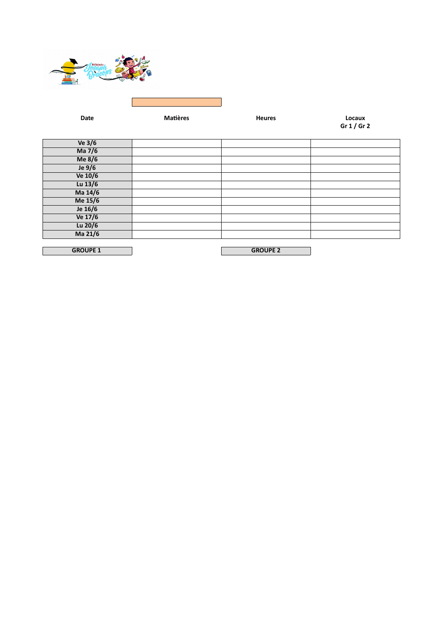

| Ve $3/6$        |                 |  |
|-----------------|-----------------|--|
| Ma 7/6          |                 |  |
| Me 8/6          |                 |  |
| Je $9/6$        |                 |  |
| Ve 10/6         |                 |  |
| Lu $13/6$       |                 |  |
| Ma 14/6         |                 |  |
| Me 15/6         |                 |  |
| Je 16/6         |                 |  |
| Ve 17/6         |                 |  |
| Lu $20/6$       |                 |  |
| Ma 21/6         |                 |  |
|                 |                 |  |
| <b>GROUPE 1</b> | <b>GROUPE 2</b> |  |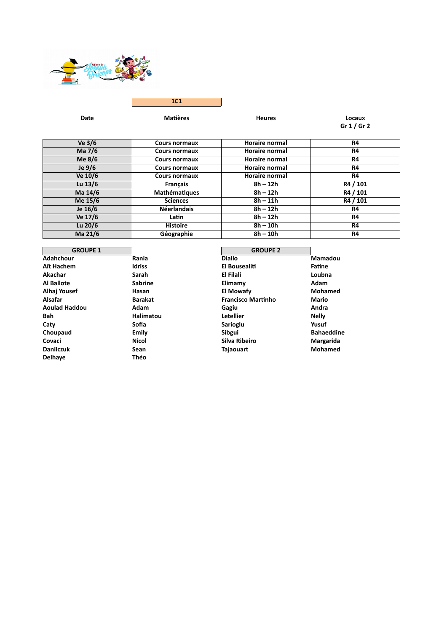

| Ve 3/6    | Cours normaux        | Horaire normal        | R4       |
|-----------|----------------------|-----------------------|----------|
| Ma 7/6    | Cours normaux        | Horaire normal        | R4       |
| Me $8/6$  | Cours normaux        | <b>Horaire normal</b> | R4       |
| Je $9/6$  | <b>Cours normaux</b> | Horaire normal        | R4       |
| Ve 10/6   | Cours normaux        | <b>Horaire normal</b> | R4       |
| Lu $13/6$ | <b>Francais</b>      | $8h - 12h$            | R4 / 101 |
| Ma 14/6   | Mathématiques        | $8h - 12h$            | R4 / 101 |
| Me 15/6   | <b>Sciences</b>      | $8h - 11h$            | R4 / 101 |
| Je 16/6   | <b>Néerlandais</b>   | $8h - 12h$            | R4       |
| Ve 17/6   | Latin                | $8h - 12h$            | R4       |
| Lu 20/6   | <b>Histoire</b>      | $8h - 10h$            | R4       |
| Ma 21/6   | Géographie           | $8h - 10h$            | R4       |

| <b>GROUPE 1</b>      |                | <b>GROUPE 2</b>           |
|----------------------|----------------|---------------------------|
| Adahchour            | Rania          | <b>Diallo</b>             |
| <b>Aït Hachem</b>    | <b>Idriss</b>  | El Bousealiti             |
| Akachar              | Sarah          | El Filali                 |
| <b>Al Ballote</b>    | <b>Sabrine</b> | Elimamy                   |
| Alhaj Yousef         | Hasan          | <b>El Mowafy</b>          |
| Alsafar              | <b>Barakat</b> | <b>Francisco Martinho</b> |
| <b>Aoulad Haddou</b> | Adam           | Gagiu                     |
| <b>Bah</b>           | Halimatou      | Letellier                 |
| Caty                 | Sofia          | Sarioglu                  |
| Choupaud             | Emily          | Sibgui                    |
| Covaci               | <b>Nicol</b>   | Silva Ribeiro             |
| <b>Danilczuk</b>     | Sean           | <b>Tajaouart</b>          |
| <b>Delhave</b>       | Théo           |                           |
|                      |                |                           |

| Rania     |
|-----------|
| Idriss    |
| Sarah     |
| Sabrine   |
| Hasan     |
| Barakat   |
| Adam      |
| Halimatou |
| Sofia     |
| Emily     |
| Nicol     |
| Sean      |
| Théo      |

| <b>GROUPE 1</b>  |                  | <b>GROUPE 2</b>           |                   |
|------------------|------------------|---------------------------|-------------------|
| Adahchour        | Rania            | <b>Diallo</b>             | Mamadou           |
| Aït Hachem       | <b>Idriss</b>    | El Bousealiti             | Fatine            |
| Akachar          | Sarah            | El Filali                 | Loubna            |
| Al Ballote       | <b>Sabrine</b>   | Elimamy                   | Adam              |
| Alhaj Yousef     | Hasan            | <b>El Mowafy</b>          | <b>Mohamed</b>    |
| Alsafar          | <b>Barakat</b>   | <b>Francisco Martinho</b> | <b>Mario</b>      |
| Aoulad Haddou    | Adam             | Gagiu                     | Andra             |
| Bah              | <b>Halimatou</b> | <b>Letellier</b>          | <b>Nelly</b>      |
| Caty             | Sofia            | Sarioglu                  | Yusuf             |
| Choupaud         | Emily            | Sibgui                    | <b>Bahaeddine</b> |
| Covaci           | <b>Nicol</b>     | Silva Ribeiro             | Margarida         |
| <b>Danilczuk</b> | Sean             | Tajaouart                 | <b>Mohamed</b>    |
|                  |                  |                           |                   |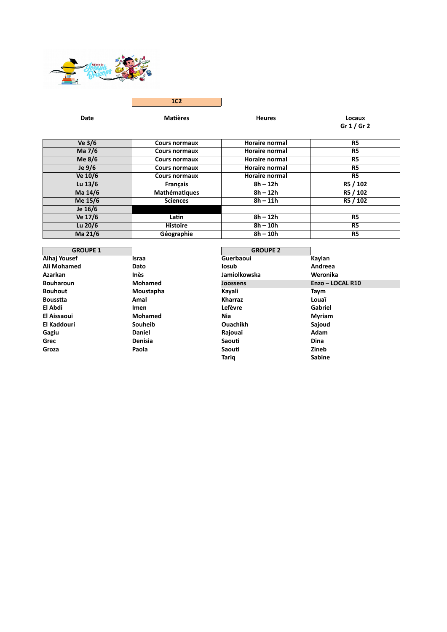

| Ve 3/6    | Cours normaux        | Horaire normal        | R5             |
|-----------|----------------------|-----------------------|----------------|
| Ma 7/6    | Cours normaux        | <b>Horaire normal</b> | R5             |
| Me $8/6$  | <b>Cours normaux</b> | <b>Horaire normal</b> | R5             |
| Je $9/6$  | <b>Cours normaux</b> | Horaire normal        | R5             |
| Ve 10/6   | Cours normaux        | <b>Horaire normal</b> | R5             |
| Lu $13/6$ | <b>Français</b>      | $8h - 12h$            | R5 / 102       |
| Ma 14/6   | <b>Mathématiques</b> | $8h - 12h$            | R5 / 102       |
| Me 15/6   | <b>Sciences</b>      | $8h - 11h$            | R5 / 102       |
| Je 16/6   |                      |                       |                |
| Ve 17/6   | Latin                | $8h - 12h$            | R5             |
| Lu $20/6$ | <b>Histoire</b>      | $8h - 10h$            | R <sub>5</sub> |
| Ma 21/6   | Géographie           | $8h - 10h$            | R <sub>5</sub> |

| <b>GROUPE 1</b>    |                | <b>GROUPE 2</b> |                  |
|--------------------|----------------|-----------------|------------------|
| Alhaj Yousef       | Israa          | Guerbaoui       | Kaylan           |
| Ali Mohamed        | Dato           | losub           | Andreea          |
| <b>Azarkan</b>     | <b>Inès</b>    | Jamiolkowska    | Weronika         |
| <b>Bouharoun</b>   | <b>Mohamed</b> | Joossens        | Enzo - LOCAL R10 |
| <b>Bouhout</b>     | Moustapha      | Kayali          | Taym             |
| <b>Bousstta</b>    | Amal           | <b>Kharraz</b>  | Louaï            |
| El Abdi            | Imen           | Lefèvre         | Gabriel          |
| <b>El Aissaoui</b> | Mohamed        | Nia             | <b>Myriam</b>    |
| El Kaddouri        | Souheib        | Ouachikh        | Sajoud           |
| Gagiu              | <b>Daniel</b>  | Rajouai         | Adam             |
| Grec               | Denisia        | Saouti          | <b>Dina</b>      |
| Groza              | Paola          | Saouti          | Zineb            |
|                    |                | <b>Tariq</b>    | <b>Sabine</b>    |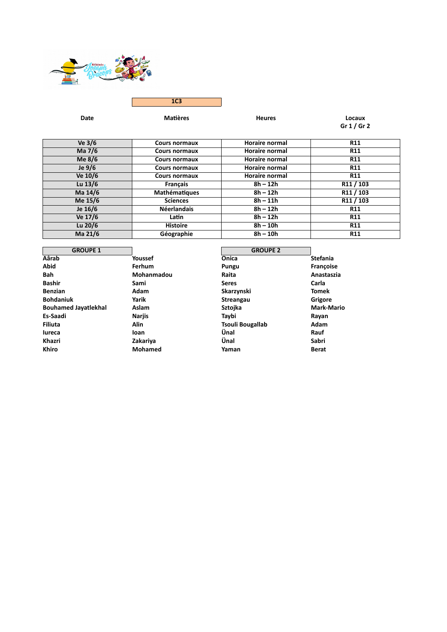

| Ve 3/6    | <b>Cours normaux</b> | Horaire normal        | <b>R11</b> |
|-----------|----------------------|-----------------------|------------|
| Ma 7/6    | <b>Cours normaux</b> | Horaire normal        | <b>R11</b> |
| Me $8/6$  | <b>Cours normaux</b> | <b>Horaire normal</b> | <b>R11</b> |
| Je $9/6$  | <b>Cours normaux</b> | <b>Horaire normal</b> | <b>R11</b> |
| Ve 10/6   | <b>Cours normaux</b> | <b>Horaire normal</b> | <b>R11</b> |
| Lu $13/6$ | <b>Français</b>      | $8h - 12h$            | R11/103    |
| Ma 14/6   | Mathématiques        | $8h - 12h$            | R11/103    |
| Me 15/6   | <b>Sciences</b>      | $8h - 11h$            | R11/103    |
| Je 16/6   | <b>Néerlandais</b>   | $8h - 12h$            | <b>R11</b> |
| Ve 17/6   | Latin                | $8h - 12h$            | <b>R11</b> |
| Lu 20/6   | <b>Histoire</b>      | $8h - 10h$            | <b>R11</b> |
| Ma 21/6   | Géographie           | $8h - 10h$            | <b>R11</b> |

| <b>GROUPE 1</b>             |                | <b>GROUPE 2</b>         |                   |
|-----------------------------|----------------|-------------------------|-------------------|
| Aârab                       | Youssef        | Onica                   | <b>Stefania</b>   |
| Abid                        | Ferhum         | <b>Pungu</b>            | Françoise         |
| <b>Bah</b>                  | Mohanmadou     | Raita                   | Anastaszia        |
| <b>Bashir</b>               | Sami           | <b>Seres</b>            | Carla             |
| <b>Benzian</b>              | Adam           | Skarzynski              | <b>Tomek</b>      |
| <b>Bohdaniuk</b>            | Yarik          | <b>Streangau</b>        | Grigore           |
| <b>Bouhamed Jayatlekhal</b> | Aslam          | <b>Sztojka</b>          | <b>Mark-Mario</b> |
| Es-Saadi                    | Narjis         | Taybi                   | Rayan             |
| <b>Filiuta</b>              | Alin           | <b>Tsouli Bougallab</b> | Adam              |
| lureca                      | loan           | Ünal                    | Rauf              |
| Khazri                      | Zakariya       | Ünal                    | Sabri             |
| <b>Khiro</b>                | <b>Mohamed</b> | Yaman                   | <b>Berat</b>      |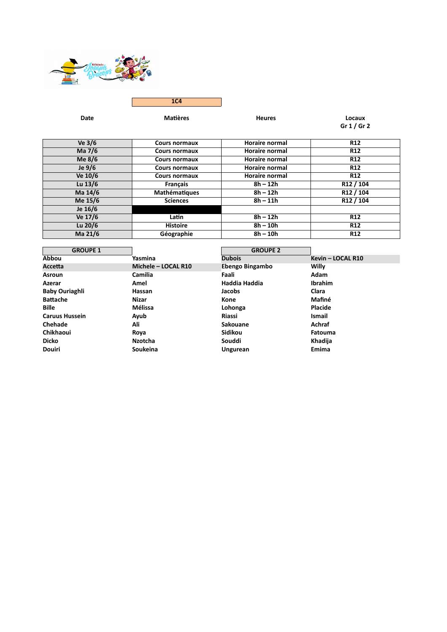

| Ve 3/6    | Cours normaux        | <b>Horaire normal</b> | <b>R12</b>            |
|-----------|----------------------|-----------------------|-----------------------|
| Ma 7/6    | Cours normaux        | <b>Horaire normal</b> | <b>R12</b>            |
| Me $8/6$  | Cours normaux        | Horaire normal        | <b>R12</b>            |
| Je $9/6$  | <b>Cours normaux</b> | Horaire normal        | <b>R12</b>            |
| Ve 10/6   | <b>Cours normaux</b> | <b>Horaire normal</b> | <b>R12</b>            |
| Lu $13/6$ | <b>Francais</b>      | $8h - 12h$            | R <sub>12</sub> / 104 |
| Ma 14/6   | <b>Mathématiques</b> | $8h - 12h$            | R <sub>12</sub> / 104 |
| Me 15/6   | <b>Sciences</b>      | $8h - 11h$            | R <sub>12</sub> / 104 |
| Je 16/6   |                      |                       |                       |
| Ve 17/6   | Latin                | $8h - 12h$            | <b>R12</b>            |
| Lu 20/6   | <b>Histoire</b>      | $8h - 10h$            | <b>R12</b>            |
| Ma 21/6   | Géographie           | $8h - 10h$            | <b>R12</b>            |

| <b>GROUPE 1</b>       |                     | <b>GROUPE 2</b> |                   |
|-----------------------|---------------------|-----------------|-------------------|
| Abbou                 | Yasmina             | <b>Dubois</b>   | Kevin - LOCAL R10 |
| Accetta               | Michele - LOCAL R10 | Ebengo Bingambo | Willy             |
| <b>Asroun</b>         | Camilia             | Faali           | Adam              |
| Azerar                | Amel                | Haddia Haddia   | <b>Ibrahim</b>    |
| <b>Baby Ouriaghli</b> | Hassan              | Jacobs          | Clara             |
| <b>Battache</b>       | Nizar               | Kone            | Mafiné            |
| <b>Bille</b>          | <b>Mélissa</b>      | Lohonga         | Placide           |
| <b>Caruus Hussein</b> | Ayub                | <b>Riassi</b>   | <b>Ismail</b>     |
| Chehade               | Ali                 | Sakouane        | Achraf            |
| Chikhaoui             | Roya                | Sidikou         | <b>Fatouma</b>    |
| <b>Dicko</b>          | <b>Nzotcha</b>      | Souddi          | Khadija           |
| <b>Douiri</b>         | Soukeina            | <b>Ungurean</b> | Emima             |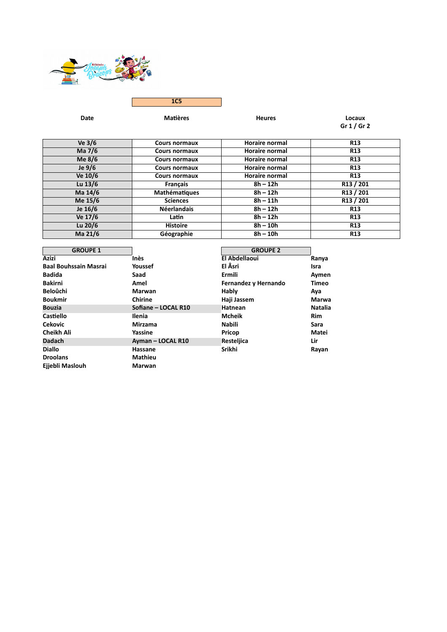

| Ve 3/6    | Cours normaux        | <b>Horaire normal</b> | <b>R13</b> |
|-----------|----------------------|-----------------------|------------|
| Ma 7/6    | <b>Cours normaux</b> | <b>Horaire normal</b> | <b>R13</b> |
| Me $8/6$  | <b>Cours normaux</b> | <b>Horaire normal</b> | <b>R13</b> |
| Je $9/6$  | Cours normaux        | <b>Horaire normal</b> | <b>R13</b> |
| Ve 10/6   | <b>Cours normaux</b> | <b>Horaire normal</b> | <b>R13</b> |
| Lu $13/6$ | <b>Francais</b>      | $8h - 12h$            | R13 / 201  |
| Ma 14/6   | Mathématiques        | $8h - 12h$            | R13 / 201  |
| Me 15/6   | <b>Sciences</b>      | $8h - 11h$            | R13 / 201  |
| Je 16/6   | <b>Néerlandais</b>   | $8h - 12h$            | <b>R13</b> |
| Ve 17/6   | Latin                | $8h - 12h$            | <b>R13</b> |
| Lu $20/6$ | <b>Histoire</b>      | $8h - 10h$            | <b>R13</b> |
| Ma 21/6   | Géographie           | $8h - 10h$            | <b>R13</b> |

| <b>GROUPE 1</b>              |                     | <b>GROUPE 2</b>      |                |
|------------------------------|---------------------|----------------------|----------------|
| Azizi                        | Inès                | El Abdellaoui        | Ranya          |
| <b>Baal Bouhssain Masrai</b> | Youssef             | El Âsri              | Isra           |
| <b>Badida</b>                | Saad                | Ermili               | Aymen          |
| <b>Bakirni</b>               | Amel                | Fernandez y Hernando | <b>Timeo</b>   |
| Beloûchi                     | Marwan              | Hably                | Aya            |
| <b>Boukmir</b>               | Chirine             | Haji Jassem          | <b>Marwa</b>   |
| <b>Bouzia</b>                | Sofiane - LOCAL R10 | Hatnean              | <b>Natalia</b> |
| Castiello                    | Ilenia              | Mcheik               | <b>Rim</b>     |
| <b>Cekovic</b>               | Mirzama             | <b>Nabili</b>        | Sara           |
| <b>Cheikh Ali</b>            | Yassine             | Pricop               | Matei          |
| <b>Dadach</b>                | Ayman - LOCAL R10   | Resteljica           | Lir            |
| <b>Diallo</b>                | Hassane             | Srikhi               | Rayan          |
| <b>Droolans</b>              | <b>Mathieu</b>      |                      |                |
| Ejjebli Maslouh              | Marwan              |                      |                |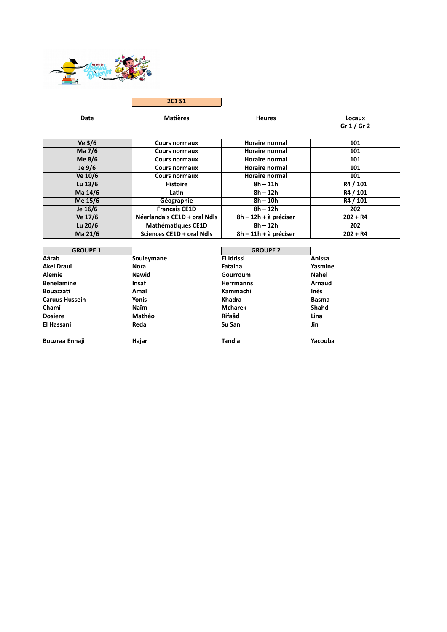

**2C1 S1**

| Ve 3/6    | Cours normaux                | <b>Horaire normal</b>   | 101        |
|-----------|------------------------------|-------------------------|------------|
| Ma 7/6    | <b>Cours normaux</b>         | <b>Horaire normal</b>   | 101        |
| Me $8/6$  | <b>Cours normaux</b>         | <b>Horaire normal</b>   | 101        |
| Je $9/6$  | <b>Cours normaux</b>         | <b>Horaire normal</b>   | 101        |
| Ve 10/6   | <b>Cours normaux</b>         | <b>Horaire normal</b>   | 101        |
| Lu $13/6$ | <b>Histoire</b>              | $8h - 11h$              | R4 / 101   |
| Ma 14/6   | Latin                        | $8h - 12h$              | R4 / 101   |
| Me 15/6   | Géographie                   | $8h - 10h$              | R4 / 101   |
| Je 16/6   | <b>Français CE1D</b>         | $8h - 12h$              | 202        |
| Ve 17/6   | Néerlandais CE1D + oral Ndls | 8h - 12h + à préciser   | $202 + R4$ |
| Lu $20/6$ | <b>Mathématiques CE1D</b>    | $8h - 12h$              | 202        |
| Ma 21/6   | Sciences CE1D + oral Ndls    | $8h - 11h + a$ préciser | $202 + R4$ |

| <b>GROUPE 1</b>       |              | <b>GROUPE 2</b>  |              |
|-----------------------|--------------|------------------|--------------|
| Aârab                 | Souleymane   | El Idrissi       | Anissa       |
| <b>Akel Draui</b>     | Nora         | Fataiha          | Yasmine      |
| Alemie                | <b>Nawid</b> | Gourroum         | <b>Nahel</b> |
| <b>Benelamine</b>     | <b>Insaf</b> | <b>Herrmanns</b> | Arnaud       |
| <b>Bouazzati</b>      | Amal         | Kammachi         | Inès         |
| <b>Caruus Hussein</b> | Yonis        | Khadra           | <b>Basma</b> |
| Chami                 | <b>Naïm</b>  | <b>Mcharek</b>   | Shahd        |
| <b>Dosiere</b>        | Mathéo       | Rifaâd           | Lina         |
| El Hassani            | Reda         | Su San           | Jin          |
| Bouzraa Ennaji        | Hajar        | <b>Tandia</b>    | Yacouba      |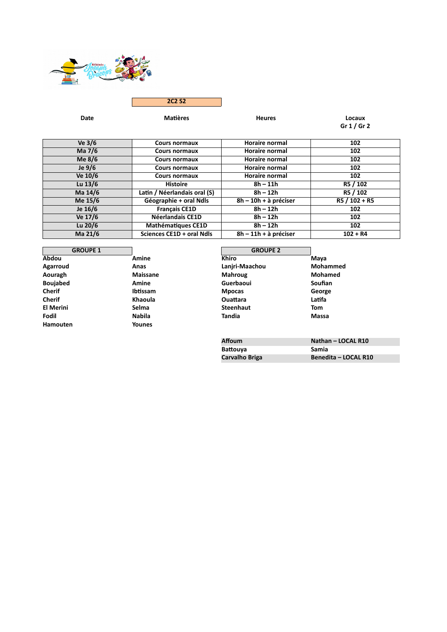

**2C2 S2**

| Ve $3/6$  | Cours normaux                | <b>Horaire normal</b>   | 102           |
|-----------|------------------------------|-------------------------|---------------|
| Ma 7/6    | Cours normaux                | Horaire normal          | 102           |
| Me $8/6$  | <b>Cours normaux</b>         | <b>Horaire normal</b>   | 102           |
| Je $9/6$  | Cours normaux                | <b>Horaire normal</b>   | 102           |
| Ve 10/6   | <b>Cours normaux</b>         | <b>Horaire normal</b>   | 102           |
| Lu $13/6$ | <b>Histoire</b>              | $8h - 11h$              | R5 / 102      |
| Ma 14/6   | Latin / Néerlandais oral (S) | $8h - 12h$              | R5 / 102      |
| Me 15/6   | Géographie + oral Ndls       | 8h - 10h + à préciser   | R5 / 102 + R5 |
| Je 16/6   | <b>Français CE1D</b>         | $8h - 12h$              | 102           |
| Ve 17/6   | Néerlandais CE1D             | $8h - 12h$              | 102           |
| Lu $20/6$ | <b>Mathématiques CE1D</b>    | $8h - 12h$              | 102           |
| Ma 21/6   | Sciences CE1D + oral Ndls    | $8h - 11h + a$ préciser | $102 + R4$    |

| <b>GROUPE 1</b>  |                 | <b>GROUPE 2</b>  |                      |
|------------------|-----------------|------------------|----------------------|
| Abdou            | Amine           | <b>Khiro</b>     | Maya                 |
| Agarroud         | Anas            | Lanjri-Maachou   | Mohammed             |
| Aouragh          | <b>Maissane</b> | <b>Mahroug</b>   | Mohamed              |
| <b>Boujabed</b>  | Amine           | Guerbaoui        | Soufian              |
| <b>Cherif</b>    | Ibtissam        | <b>Mpocas</b>    | George               |
| <b>Cherif</b>    | Khaoula         | <b>Ouattara</b>  | Latifa               |
| <b>El Merini</b> | Selma           | <b>Steenhaut</b> | Tom                  |
| Fodil            | <b>Nabila</b>   | Tandia           | <b>Massa</b>         |
| Hamouten         | <b>Younes</b>   |                  |                      |
|                  |                 |                  |                      |
|                  |                 | <b>Affoum</b>    | Nathan - LOCAL R10   |
|                  |                 | <b>Battouya</b>  | Samia                |
|                  |                 | Carvalho Briga   | Benedita - LOCAL R10 |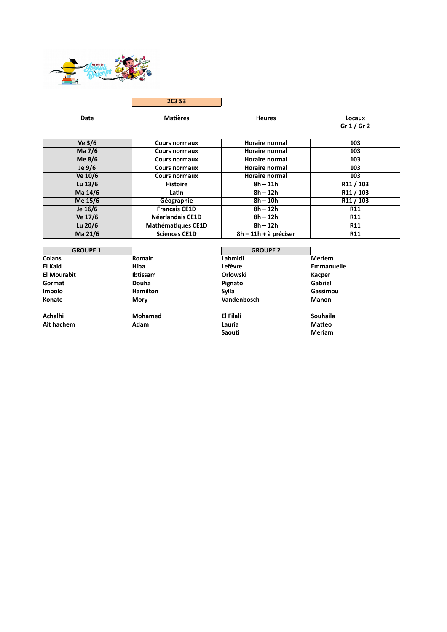

**2C3 S3**

| Ve 3/6    | Cours normaux        | Horaire normal          | 103        |
|-----------|----------------------|-------------------------|------------|
| Ma 7/6    | Cours normaux        | <b>Horaire normal</b>   | 103        |
| Me $8/6$  | <b>Cours normaux</b> | <b>Horaire normal</b>   | 103        |
| Je $9/6$  | Cours normaux        | <b>Horaire normal</b>   | 103        |
| Ve 10/6   | Cours normaux        | <b>Horaire normal</b>   | 103        |
| Lu $13/6$ | <b>Histoire</b>      | $8h - 11h$              | R11/103    |
| Ma 14/6   | Latin                | $8h - 12h$              | R11/103    |
| Me 15/6   | Géographie           | $8h - 10h$              | R11/103    |
| Je 16/6   | <b>Français CE1D</b> | $8h - 12h$              | <b>R11</b> |
| Ve 17/6   | Néerlandais CE1D     | $8h - 12h$              | <b>R11</b> |
| Lu 20/6   | Mathématiques CE1D   | $8h - 12h$              | <b>R11</b> |
| Ma 21/6   | <b>Sciences CE1D</b> | $8h - 11h + a$ préciser | <b>R11</b> |

| <b>GROUPE 1</b> |                 | <b>GROUPE 2</b> |               |
|-----------------|-----------------|-----------------|---------------|
| <b>Colans</b>   | <b>Romain</b>   | Lahmidi         | <b>Meriem</b> |
| El Kaid         | Hiba            | Lefèvre         | Emmanuelle    |
| El Mourabit     | <b>Ibtissam</b> | Orlowski        | Kacper        |
| Gormat          | Douha           | Pignato         | Gabriel       |
| <b>Imbolo</b>   | <b>Hamilton</b> | Sylla           | Gassimou      |
| Konate          | Mory            | Vandenbosch     | <b>Manon</b>  |
| Achalhi         | <b>Mohamed</b>  | El Filali       | Souhaila      |
| Ait hachem      | Adam            | Lauria          | <b>Matteo</b> |
|                 |                 | Saouti          | Meriam        |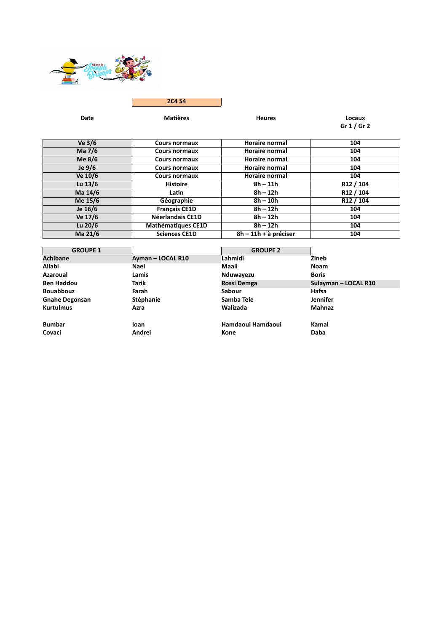

**2C4 S4**

| Ve 3/6    | Cours normaux             | Horaire normal        | 104       |
|-----------|---------------------------|-----------------------|-----------|
| Ma 7/6    | <b>Cours normaux</b>      | <b>Horaire normal</b> | 104       |
| Me $8/6$  | <b>Cours normaux</b>      | <b>Horaire normal</b> | 104       |
| Je $9/6$  | <b>Cours normaux</b>      | <b>Horaire normal</b> | 104       |
| Ve 10/6   | <b>Cours normaux</b>      | <b>Horaire normal</b> | 104       |
| Lu $13/6$ | <b>Histoire</b>           | $8h - 11h$            | R12 / 104 |
| Ma 14/6   | Latin                     | $8h - 12h$            | R12 / 104 |
| Me 15/6   | Géographie                | $8h - 10h$            | R12 / 104 |
| Je 16/6   | <b>Français CE1D</b>      | $8h - 12h$            | 104       |
| Ve 17/6   | Néerlandais CE1D          | $8h - 12h$            | 104       |
| Lu $20/6$ | <b>Mathématiques CE1D</b> | $8h - 12h$            | 104       |
| Ma 21/6   | <b>Sciences CE1D</b>      | 8h - 11h + à préciser | 104       |

| <b>GROUPE 1</b>       |                   | <b>GROUPE 2</b>   |                      |
|-----------------------|-------------------|-------------------|----------------------|
| <b>Achibane</b>       | Ayman - LOCAL R10 | Lahmidi           | Zineb                |
| <b>Allabi</b>         | Nael              | Maali             | Noam                 |
| <b>Azaroual</b>       | Lamis             | Nduwayezu         | <b>Boris</b>         |
| <b>Ben Haddou</b>     | <b>Tarik</b>      | Rossi Demga       | Sulayman - LOCAL R10 |
| <b>Bouabbouz</b>      | Farah             | Sabour            | Hafsa                |
| <b>Gnahe Degonsan</b> | <b>Stéphanie</b>  | Samba Tele        | <b>Jennifer</b>      |
| <b>Kurtulmus</b>      | Azra              | Walizada          | <b>Mahnaz</b>        |
| <b>Bumbar</b>         | loan              | Hamdaoui Hamdaoui | Kamal                |
| Covaci                | Andrei            | Kone              | <b>Daba</b>          |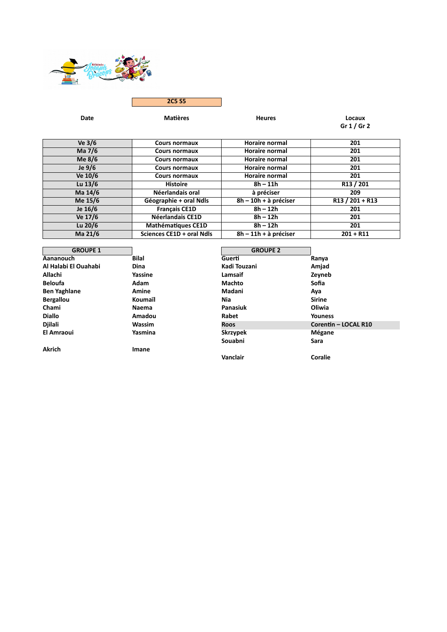

**2C5 S5**

| Ve $3/6$  | Cours normaux             | <b>Horaire normal</b>           | 201               |
|-----------|---------------------------|---------------------------------|-------------------|
| Ma 7/6    | <b>Cours normaux</b>      | <b>Horaire normal</b>           | 201               |
| Me $8/6$  | Cours normaux             | <b>Horaire normal</b>           | 201               |
| Je $9/6$  | Cours normaux             | <b>Horaire normal</b>           | 201               |
| Ve 10/6   | <b>Cours normaux</b>      | <b>Horaire normal</b>           | 201               |
| Lu $13/6$ | <b>Histoire</b>           | $8h - 11h$                      | R13 / 201         |
| Ma 14/6   | Néerlandais oral          | à préciser                      | 209               |
| Me 15/6   | Géographie + oral Ndls    | $8h - 10h + \grave{a}$ préciser | $R13 / 201 + R13$ |
| Je 16/6   | <b>Français CE1D</b>      | $8h - 12h$                      | 201               |
| Ve 17/6   | Néerlandais CE1D          | $8h - 12h$                      | 201               |
| Lu $20/6$ | <b>Mathématiques CE1D</b> | $8h - 12h$                      | 201               |
| Ma 21/6   | Sciences CE1D + oral Ndls | $8h - 11h + a$ préciser         | $201 + R11$       |

| <b>GROUPE 1</b>      |               | <b>GROUPE 2</b> |                             |
|----------------------|---------------|-----------------|-----------------------------|
| Aananouch            | <b>Bilal</b>  | Guerti          | Ranya                       |
| Al Halabi El Ouahabi | <b>Dina</b>   | Kadi Touzani    | Amjad                       |
| Allachi              | Yassine       | Lamsaif         | Zeyneb                      |
| <b>Beloufa</b>       | Adam          | <b>Machto</b>   | Sofia                       |
| <b>Ben Yaghlane</b>  | Amine         | Madani          | Aya                         |
| <b>Bergallou</b>     | Koumaïl       | Nia             | <b>Sirine</b>               |
| Chami                | Naema         | Panasiuk        | Oliwia                      |
| <b>Diallo</b>        | Amadou        | Rabet           | <b>Youness</b>              |
| <b>Djilali</b>       | <b>Wassim</b> | <b>Roos</b>     | <b>Corentin - LOCAL R10</b> |
| El Amraoui           | Yasmina       | <b>Skrzypek</b> | Mégane                      |
|                      |               | Souabni         | Sara                        |
| <b>Akrich</b>        | Imane         |                 |                             |
|                      |               | Vanclair        | Coralie                     |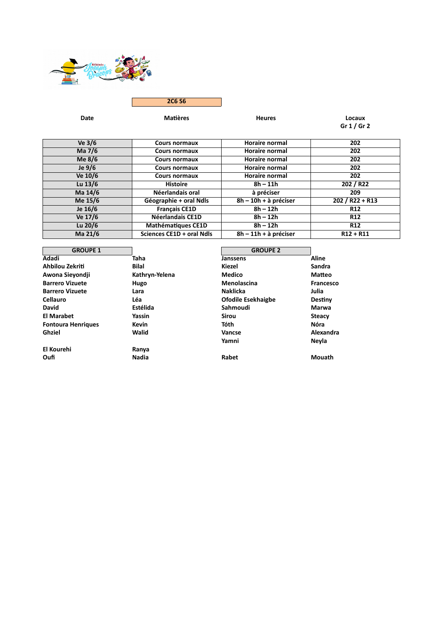

**2C6 S6**

| Ve 3/6    | <b>Cours normaux</b>      | <b>Horaire normal</b> | 202               |
|-----------|---------------------------|-----------------------|-------------------|
| Ma 7/6    | <b>Cours normaux</b>      | <b>Horaire normal</b> | 202               |
| Me $8/6$  | <b>Cours normaux</b>      | <b>Horaire normal</b> | 202               |
| Je $9/6$  | <b>Cours normaux</b>      | <b>Horaire normal</b> | 202               |
| Ve 10/6   | <b>Cours normaux</b>      | <b>Horaire normal</b> | 202               |
| Lu $13/6$ | <b>Histoire</b>           | $8h - 11h$            | 202 / R22         |
| Ma 14/6   | Néerlandais oral          | à préciser            | 209               |
| Me 15/6   | Géographie + oral Ndls    | 8h - 10h + à préciser | $202 / R22 + R13$ |
| Je 16/6   | <b>Français CE1D</b>      | $8h - 12h$            | <b>R12</b>        |
| Ve 17/6   | Néerlandais CE1D          | $8h - 12h$            | <b>R12</b>        |
| Lu $20/6$ | <b>Mathématiques CE1D</b> | $8h - 12h$            | <b>R12</b>        |
| Ma 21/6   | Sciences CE1D + oral Ndls | 8h - 11h + à préciser | $R12 + R11$       |

| <b>GROUPE 1</b>           |                | <b>GROUPE 2</b>           |               |
|---------------------------|----------------|---------------------------|---------------|
| Adadi                     | Taha           | Janssens                  | Aline         |
| Ahbilou Zekriti           | <b>Bilal</b>   | Kiezel                    | <b>Sandra</b> |
| Awona Sievondii           | Kathryn-Yelena | Medico                    | <b>Matteo</b> |
| <b>Barrero Vizuete</b>    | Hugo           | Menolascina               | Francesco     |
| <b>Barrero Vizuete</b>    | Lara           | <b>Naklicka</b>           | Julia         |
| <b>Cellauro</b>           | Léa            | <b>Ofodile Esekhaigbe</b> | Destiny       |
| <b>David</b>              | Estélida       | Sahmoudi                  | <b>Marwa</b>  |
| <b>El Marabet</b>         | Yassin         | Sirou                     | <b>Steacy</b> |
| <b>Fontoura Henriques</b> | <b>Kevin</b>   | <b>Tóth</b>               | Nóra          |
| Ghziel                    | Walid          | Vancse                    | Alexandra     |
|                           |                | Yamni                     | Nevla         |
| El Kourehi                | Ranya          |                           |               |
| Oufi                      | Nadia          | Rabet                     | Mouath        |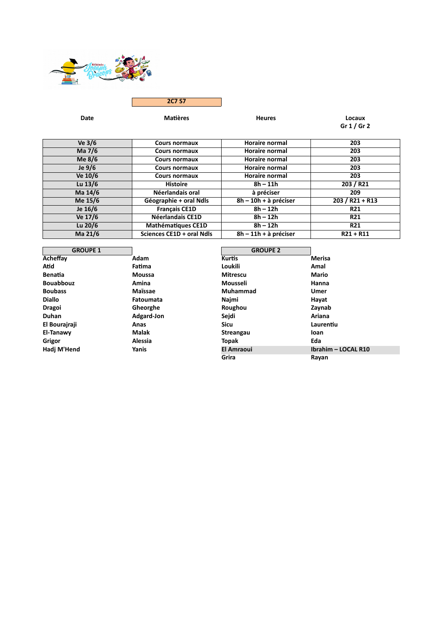

**2C7 S7**

| Ve $3/6$  | Cours normaux             | <b>Horaire normal</b>           | 203               |
|-----------|---------------------------|---------------------------------|-------------------|
| Ma 7/6    | <b>Cours normaux</b>      | <b>Horaire normal</b>           | 203               |
| Me $8/6$  | <b>Cours normaux</b>      | <b>Horaire normal</b>           | 203               |
| Je $9/6$  | <b>Cours normaux</b>      | <b>Horaire normal</b>           | 203               |
| Ve 10/6   | <b>Cours normaux</b>      | <b>Horaire normal</b>           | 203               |
| Lu $13/6$ | <b>Histoire</b>           | $8h - 11h$                      | 203 / R21         |
| Ma 14/6   | Néerlandais oral          | à préciser                      | 209               |
| Me 15/6   | Géographie + oral Ndls    | $8h - 10h + \grave{a}$ préciser | $203 / R21 + R13$ |
| Je 16/6   | <b>Français CE1D</b>      | $8h - 12h$                      | <b>R21</b>        |
| Ve 17/6   | <b>Néerlandais CE1D</b>   | $8h - 12h$                      | R21               |
| Lu $20/6$ | <b>Mathématiques CE1D</b> | $8h - 12h$                      | <b>R21</b>        |
| Ma 21/6   | Sciences CE1D + oral Ndls | $8h - 11h + a$ préciser         | $R21 + R11$       |

| <b>GROUPE 1</b>  |                  | <b>GROUPE 2</b>   |                     |
|------------------|------------------|-------------------|---------------------|
| Acheffay         | Adam             | <b>Kurtis</b>     | <b>Merisa</b>       |
| Atid             | Fatima           | Loukili           | Amal                |
| <b>Benatia</b>   | <b>Moussa</b>    | <b>Mitrescu</b>   | Mario               |
| <b>Bouabbouz</b> | Amina            | Mousseli          | Hanna               |
| <b>Boubass</b>   | Maïssae          | Muhammad          | Umer                |
| <b>Diallo</b>    | <b>Fatoumata</b> | Najmi             | Hayat               |
| <b>Dragoi</b>    | Gheorghe         | Roughou           | Zaynab              |
| Duhan            | Adgard-Jon       | Seidi             | Ariana              |
| El Bourajraji    | Anas             | Sicu              | Laurentiu           |
| El-Tanawy        | <b>Malak</b>     | Streangau         | <b>loan</b>         |
| Grigor           | Alessia          | <b>Topak</b>      | Eda                 |
| Hadi M'Hend      | Yanis            | <b>El Amraoui</b> | Ibrahim - LOCAL R10 |
|                  |                  | Grira             | Rayan               |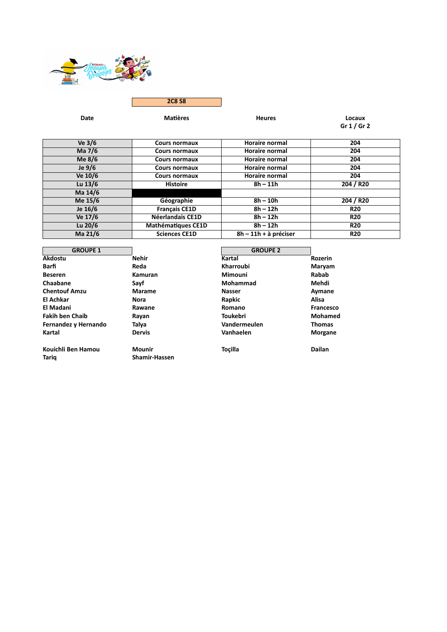

**2C8 S8**

| Ve 3/6    | Cours normaux        | <b>Horaire normal</b> | 204        |
|-----------|----------------------|-----------------------|------------|
| Ma 7/6    | Cours normaux        | <b>Horaire normal</b> | 204        |
| Me $8/6$  | <b>Cours normaux</b> | Horaire normal        | 204        |
| Je $9/6$  | <b>Cours normaux</b> | Horaire normal        | 204        |
| Ve 10/6   | Cours normaux        | Horaire normal        | 204        |
| Lu $13/6$ | <b>Histoire</b>      | $8h - 11h$            | 204 / R20  |
| Ma 14/6   |                      |                       |            |
| Me 15/6   | Géographie           | $8h - 10h$            | 204 / R20  |
| Je 16/6   | <b>Français CE1D</b> | $8h - 12h$            | <b>R20</b> |
| Ve 17/6   | Néerlandais CE1D     | $8h - 12h$            | <b>R20</b> |
| Lu 20/6   | Mathématiques CE1D   | $8h - 12h$            | <b>R20</b> |
| Ma 21/6   | <b>Sciences CE1D</b> | 8h - 11h + à préciser | <b>R20</b> |

| <b>GROUPE 1</b>        |                      | <b>GROUPE 2</b>  |                |
|------------------------|----------------------|------------------|----------------|
| Akdostu                | Nehir                | Kartal           | <b>Rozerin</b> |
| Barfi                  | Reda                 | <b>Kharroubi</b> | Maryam         |
| <b>Beseren</b>         | Kamuran              | Mimouni          | Rabab          |
| Chaabane               | Sayf                 | Mohammad         | Mehdi          |
| <b>Chentouf Amzu</b>   | <b>Marame</b>        | <b>Nasser</b>    | Aymane         |
| El Achkar              | Nora                 | Rapkic           | Alisa          |
| El Madani              | Rawane               | Romano           | Francesco      |
| <b>Fakih ben Chaib</b> | Rayan                | <b>Toukebri</b>  | Mohamed        |
| Fernandez y Hernando   | Talya                | Vandermeulen     | <b>Thomas</b>  |
| Kartal                 | <b>Dervis</b>        | Vanhaelen        | <b>Morgane</b> |
| Kouichli Ben Hamou     | <b>Mounir</b>        | Tocilla          | Dailan         |
| Tariq                  | <b>Shamir-Hassen</b> |                  |                |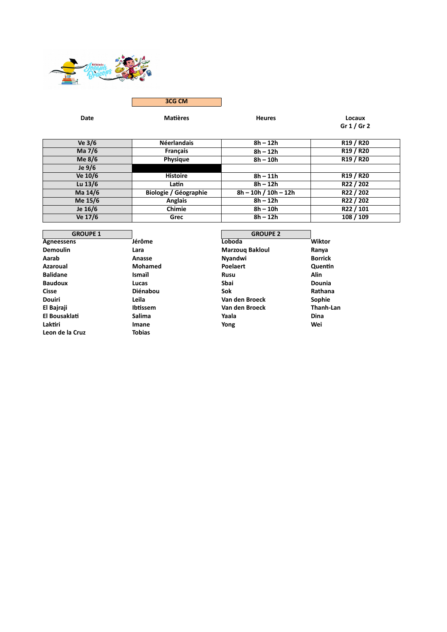

**3CG CM**

**Date Matières Heures Locaux Gr 1 / Gr 2**

| Ve $3/6$  | <b>Néerlandais</b>    | $8h - 12h$             | R <sub>19</sub> / R <sub>20</sub> |
|-----------|-----------------------|------------------------|-----------------------------------|
| Ma 7/6    | <b>Francais</b>       | $8h - 12h$             | R <sub>19</sub> / R <sub>20</sub> |
| Me $8/6$  | <b>Physique</b>       | $8h - 10h$             | R <sub>19</sub> / R <sub>20</sub> |
| Je $9/6$  |                       |                        |                                   |
| Ve 10/6   | <b>Histoire</b>       | $8h - 11h$             | R <sub>19</sub> / R <sub>20</sub> |
| Lu $13/6$ | Latin                 | $8h - 12h$             | R22 / 202                         |
| Ma 14/6   | Biologie / Géographie | $8h - 10h / 10h - 12h$ | R22 / 202                         |
| Me 15/6   | <b>Anglais</b>        | $8h - 12h$             | R22 / 202                         |
| Je 16/6   | Chimie                | $8h - 10h$             | R22 / 101                         |
| Ve 17/6   | Grec                  | $8h - 12h$             | 108 / 109                         |

**GROUPE 1**<br> **S**<br> **GROUPE 1**<br> **GROUPE 1**<br> **GROUPE 1 Agneessens Jérôme Loboda Wiktor Demoulin Lara Marzouq Bakloul Ranya Aarab Anasse Nyandwi Borrick Azaroual Mohamed Poelaert Quentin Balidane Ismaïl Rusu Alin Baudoux Lucas Sbai Dounia Cisse Diénabou Sok Rathana Douiri Leila Van den Broeck Sophie El Bajraji Ibtissem Van den Broeck Thanh-Lan El Bousaklati Salima Yaala Dina Laktiri Imane Yong Wei Leon de la Cruz Tobias**

| <b>GROUPE 2</b> |      |
|-----------------|------|
| oboda           | Wik  |
| Aarzouq Bakloul | Rany |
| Iyandwi         | Borr |
| 'oelaert        | Que  |
| ในรน            | Alin |
| bai             | Dou  |
| ok              | Rath |
| ⁄an den Broeck  | Sopl |
| ⁄an den Broeck  | Thaı |
| 'aala           | Dina |
| 'ong            | Wei  |
|                 |      |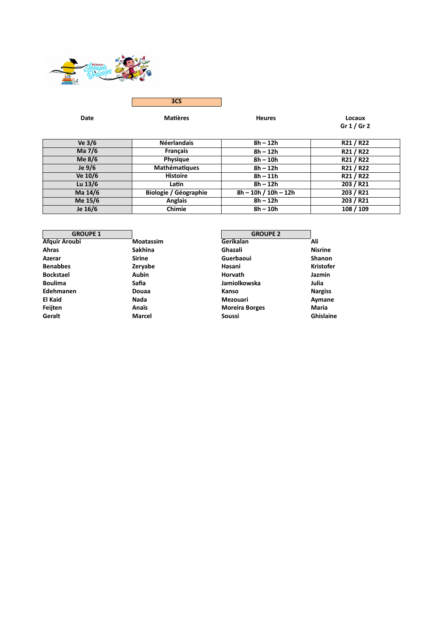

**3CS**

| Ve $3/6$  | <b>Néerlandais</b>    | $8h - 12h$             | R21 / R22 |
|-----------|-----------------------|------------------------|-----------|
| Ma 7/6    | <b>Francais</b>       | $8h - 12h$             | R21 / R22 |
| Me 8/6    | <b>Physique</b>       | $8h - 10h$             | R21 / R22 |
| Je 9/6    | Mathématiques         | $8h - 12h$             | R21 / R22 |
| Ve 10/6   | <b>Histoire</b>       | $8h - 11h$             | R21 / R22 |
| Lu $13/6$ | Latin                 | $8h - 12h$             | 203 / R21 |
| Ma 14/6   | Biologie / Géographie | $8h - 10h / 10h - 12h$ | 203 / R21 |
| Me 15/6   | <b>Anglais</b>        | $8h - 12h$             | 203 / R21 |
| Je 16/6   | Chimie                | $8h - 10h$             | 108 / 109 |

| <b>GROUPE 1</b>      |               | <b>GROUPE 2</b>       |                  |
|----------------------|---------------|-----------------------|------------------|
| <b>Afguir Aroubi</b> | Moatassim     | Gerikalan             | Ali              |
| <b>Ahras</b>         | Sakhina       | Ghazali               | <b>Nisrine</b>   |
| Azerar               | <b>Sirine</b> | Guerbaoui             | <b>Shanon</b>    |
| <b>Benabbes</b>      | Zervabe       | Hasani                | <b>Kristofer</b> |
| <b>Bockstael</b>     | <b>Aubin</b>  | Horvath               | <b>Jazmin</b>    |
| <b>Boulima</b>       | Safia         | Jamiolkowska          | Julia            |
| Edehmanen            | Douaa         | Kanso                 | <b>Nargiss</b>   |
| El Kaid              | Nada          | Mezouari              | Aymane           |
| Feijten              | Anaïs         | <b>Moreira Borges</b> | Maria            |
| Geralt               | <b>Marcel</b> | <b>Soussi</b>         | Ghislaine        |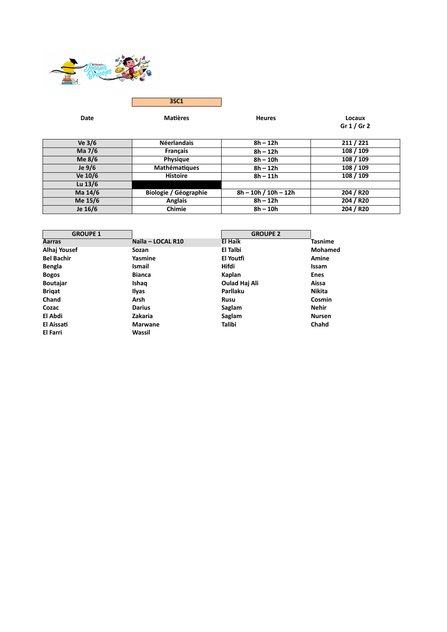

| Ve $3/6$  | <b>Néerlandais</b>    | $8h - 12h$             | 211/221               |
|-----------|-----------------------|------------------------|-----------------------|
| Ma 7/6    | <b>Francais</b>       | $8h - 12h$             | 108 / 109             |
| Me $8/6$  | <b>Physique</b>       | $8h - 10h$             | 108 / 109             |
| Je $9/6$  | Mathématiques         | $8h - 12h$             | 108 / 109             |
| Ve 10/6   | <b>Histoire</b>       | $8h - 11h$             | 108 / 109             |
| Lu $13/6$ |                       |                        |                       |
| Ma 14/6   | Biologie / Géographie | $8h - 10h / 10h - 12h$ | 204 / R <sub>20</sub> |
| Me 15/6   | <b>Anglais</b>        | $8h - 12h$             | 204 / R20             |
| Je 16/6   | Chimie                | $8h - 10h$             | 204 / R20             |

| <b>GROUPE 1</b>   |                   | <b>GROUPE 2</b> |                |
|-------------------|-------------------|-----------------|----------------|
| <b>Aarras</b>     | Naïla - LOCAL R10 | El Haik         | <b>Tasnime</b> |
| Alhaj Yousef      | Sozan             | El Talbi        | Mohamed        |
| <b>Bel Bachir</b> | Yasmine           | El Youtfi       | Amine          |
| Bengla            | <b>Ismail</b>     | Hifdi           | <b>Issam</b>   |
| <b>Bogos</b>      | <b>Bianca</b>     | Kaplan          | <b>Enes</b>    |
| <b>Boutajar</b>   | Ishaq             | Oulad Haj Ali   | Aissa          |
| <b>Brigat</b>     | Ilyas             | Parllaku        | Nikita         |
| Chand             | Arsh              | <b>Rusu</b>     | Cosmin         |
| Cozac             | <b>Darius</b>     | Saglam          | <b>Nehir</b>   |
| El Abdi           | Zakaria           | Saglam          | <b>Nursen</b>  |
| El Aissati        | <b>Marwane</b>    | <b>Talibi</b>   | Chahd          |
| El Farri          | <b>Wassil</b>     |                 |                |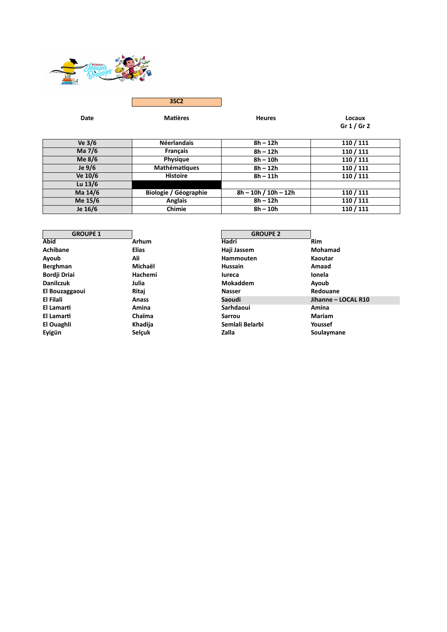

| Ve $3/6$  | <b>Néerlandais</b>    | $8h - 12h$             | 110 / 111 |
|-----------|-----------------------|------------------------|-----------|
| Ma 7/6    | <b>Francais</b>       | $8h - 12h$             | 110 / 111 |
| Me 8/6    | <b>Physique</b>       | $8h - 10h$             | 110 / 111 |
| Je 9/6    | Mathématiques         | $8h - 12h$             | 110 / 111 |
| Ve 10/6   | <b>Histoire</b>       | $8h - 11h$             | 110 / 111 |
| Lu $13/6$ |                       |                        |           |
| Ma 14/6   | Biologie / Géographie | $8h - 10h / 10h - 12h$ | 110 / 111 |
| Me 15/6   | <b>Anglais</b>        | $8h - 12h$             | 110 / 111 |
| Je 16/6   | Chimie                | $8h - 10h$             | 110 / 111 |

| <b>GROUPE 1</b>  |              | <b>GROUPE 2</b> |                     |
|------------------|--------------|-----------------|---------------------|
| <b>Abid</b>      | Arhum        | Hadri           | Rim                 |
| Achibane         | <b>Elias</b> | Haji Jassem     | Mohamad             |
| Ayoub            | Ali          | Hammouten       | Kaoutar             |
| Berghman         | Michaël      | <b>Hussain</b>  | Amaad               |
| Bordji Driai     | Hachemi      | lureca          | Ionela              |
| <b>Danilczuk</b> | Julia        | <b>Mokaddem</b> | Ayoub               |
| El Bouzaggaoui   | Ritaj        | <b>Nasser</b>   | Redouane            |
| El Filali        | Anass        | Saoudi          | Jihanne – LOCAL R10 |
| El Lamarti       | Amina        | Sarhdaoui       | Amina               |
| El Lamarti       | Chaïma       | Sarrou          | Mariam              |
| El Ouaghli       | Khadija      | Semlali Belarbi | Youssef             |
| Eyigün           | Selçuk       | Zalla           | Soulaymane          |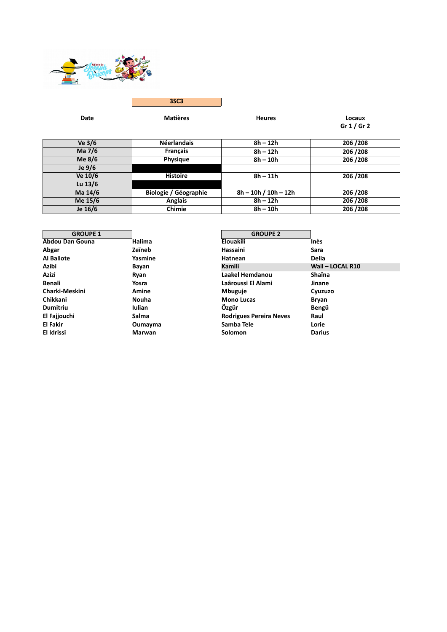

| Ve 3/6    | <b>Néerlandais</b>    | $8h - 12h$             | 206/208 |
|-----------|-----------------------|------------------------|---------|
| Ma 7/6    | <b>Francais</b>       | $8h - 12h$             | 206/208 |
| Me 8/6    | <b>Physique</b>       | $8h - 10h$             | 206/208 |
| Je 9/6    |                       |                        |         |
| Ve 10/6   | <b>Histoire</b>       | $8h - 11h$             | 206/208 |
| Lu $13/6$ |                       |                        |         |
| Ma 14/6   | Biologie / Géographie | $8h - 10h / 10h - 12h$ | 206/208 |
| Me 15/6   | <b>Anglais</b>        | $8h - 12h$             | 206/208 |
| Je 16/6   | Chimie                | $8h - 10h$             | 206/208 |

| <b>GROUPE 1</b>   |               | <b>GROUPE 2</b>                |                  |
|-------------------|---------------|--------------------------------|------------------|
| Abdou Dan Gouna   | Halima        | Elouakili                      | Inès             |
| Abgar             | Zeïneb        | Hassaini                       | Sara             |
| <b>Al Ballote</b> | Yasmine       | Hatnean                        | Delia            |
| Azibi             | Bayan         | Kamili                         | Wail - LOCAL R10 |
| Azizi             | Ryan          | Laakel Hemdanou                | <b>Shaina</b>    |
| Benali            | Yosra         | Laâroussi El Alami             | Jinane           |
| Charki-Meskini    | Amine         | <b>Mbuguje</b>                 | Cyuzuzo          |
| Chikkani          | Nouha         | <b>Mono Lucas</b>              | Bryan            |
| <b>Dumitriu</b>   | <b>Iulian</b> | Özgür                          | Bengü            |
| El Fajjouchi      | Salma         | <b>Rodrigues Pereira Neves</b> | Raul             |
| El Fakir          | Oumayma       | Samba Tele                     | Lorie            |
| El Idrissi        | Marwan        | Solomon                        | <b>Darius</b>    |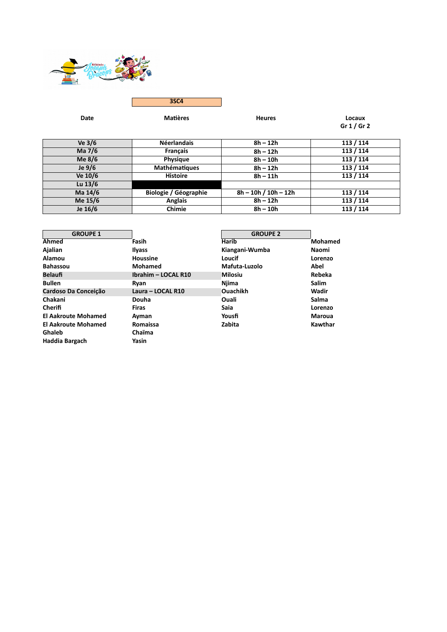

| Ve $3/6$  | <b>Néerlandais</b>    | $8h - 12h$             | 113 / 114 |
|-----------|-----------------------|------------------------|-----------|
| Ma 7/6    | <b>Francais</b>       | $8h - 12h$             | 113 / 114 |
| Me $8/6$  | <b>Physique</b>       | $8h - 10h$             | 113 / 114 |
| Je $9/6$  | Mathématiques         | $8h - 12h$             | 113 / 114 |
| Ve 10/6   | <b>Histoire</b>       | $8h - 11h$             | 113 / 114 |
| Lu $13/6$ |                       |                        |           |
| Ma 14/6   | Biologie / Géographie | $8h - 10h / 10h - 12h$ | 113 / 114 |
| Me 15/6   | <b>Anglais</b>        | $8h - 12h$             | 113 / 114 |
| Je 16/6   | Chimie                | $8h - 10h$             | 113 / 114 |

| <b>GROUPE 1</b>            |                     | <b>GROUPE 2</b> |                |
|----------------------------|---------------------|-----------------|----------------|
| Ahmed                      | Fasih               | Harib           | <b>Mohamed</b> |
| Ajalian                    | Ilyass              | Kiangani-Wumba  | Naomi          |
| Alamou                     | Houssine            | Loucif          | Lorenzo        |
| <b>Bahassou</b>            | <b>Mohamed</b>      | Mafuta-Luzolo   | Abel           |
| <b>Belaufi</b>             | Ibrahim - LOCAL R10 | <b>Milosiu</b>  | Rebeka         |
| <b>Bullen</b>              | Ryan                | Njima           | <b>Salim</b>   |
| Cardoso Da Conceição       | Laura - LOCAL R10   | <b>Ouachikh</b> | Wadir          |
| Chakani                    | Douha               | Ouali           | Salma          |
| Cherifi                    | <b>Firas</b>        | Saia            | Lorenzo        |
| <b>El Aakroute Mohamed</b> | Ayman               | Yousfi          | <b>Maroua</b>  |
| <b>El Aakroute Mohamed</b> | Romaissa            | Zabita          | Kawthar        |
| Ghaleb                     | Chaïma              |                 |                |
| Haddia Bargach             | Yasin               |                 |                |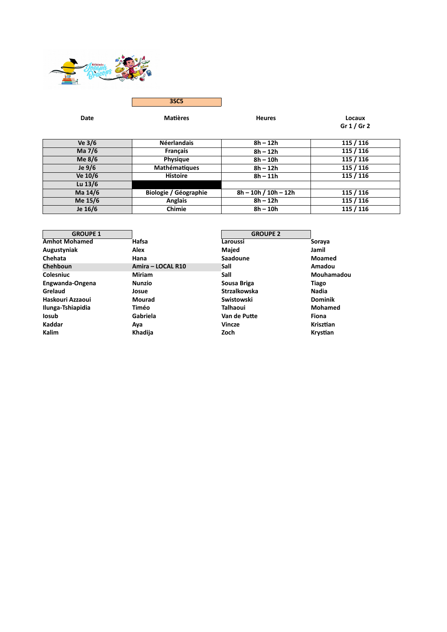

| Ve $3/6$  | <b>Néerlandais</b>    | $8h - 12h$             | 115 / 116 |
|-----------|-----------------------|------------------------|-----------|
| Ma 7/6    | <b>Francais</b>       | $8h - 12h$             | 115 / 116 |
| Me 8/6    | <b>Physique</b>       | $8h - 10h$             | 115 / 116 |
| Je 9/6    | Mathématiques         | $8h - 12h$             | 115 / 116 |
| Ve 10/6   | <b>Histoire</b>       | $8h - 11h$             | 115 / 116 |
| Lu $13/6$ |                       |                        |           |
| Ma 14/6   | Biologie / Géographie | $8h - 10h / 10h - 12h$ | 115 / 116 |
| Me 15/6   | <b>Anglais</b>        | $8h - 12h$             | 115 / 116 |
| Je 16/6   | Chimie                | $8h - 10h$             | 115 / 116 |

| <b>GROUPE 1</b>      |                   | <b>GROUPE 2</b> |                |
|----------------------|-------------------|-----------------|----------------|
| <b>Amhot Mohamed</b> | Hafsa             | Laroussi        | Soraya         |
| Augustyniak          | Alex              | Majed           | Jamil          |
| Chehata              | Hana              | Saadoune        | <b>Moamed</b>  |
| Chehboun             | Amira - LOCAL R10 | Sall            | Amadou         |
| Colesniuc            | Miriam            | Sall            | Mouhamadou     |
| Engwanda-Ongena      | <b>Nunzio</b>     | Sousa Briga     | Tiago          |
| Grelaud              | Josue             | Strzalkowska    | Nadia          |
| Haskouri Azzaoui     | Mourad            | Swistowski      | <b>Dominik</b> |
| Ilunga-Tshiapidia    | Timéo             | <b>Talhaoui</b> | Mohamed        |
| losub                | Gabriela          | Van de Putte    | Fiona          |
| Kaddar               | Aya               | Vincze          | Krisztian      |
| Kalim                | Khadija           | Zoch            | Krystian       |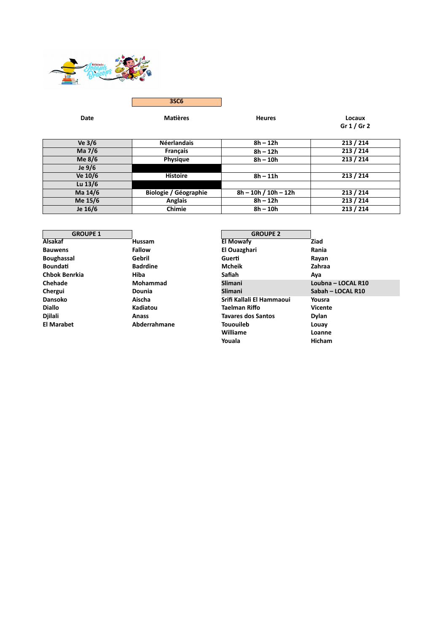

| Ve 3/6    | <b>Néerlandais</b>    | $8h - 12h$             | 213 / 214 |
|-----------|-----------------------|------------------------|-----------|
| Ma 7/6    | <b>Francais</b>       | $8h - 12h$             | 213 / 214 |
| Me 8/6    | <b>Physique</b>       | $8h - 10h$             | 213 / 214 |
| Je 9/6    |                       |                        |           |
| Ve 10/6   | <b>Histoire</b>       | $8h - 11h$             | 213/214   |
| Lu $13/6$ |                       |                        |           |
| Ma 14/6   | Biologie / Géographie | $8h - 10h / 10h - 12h$ | 213 / 214 |
| Me 15/6   | <b>Anglais</b>        | $8h - 12h$             | 213 / 214 |
| Je 16/6   | Chimie                | $8h - 10h$             | 213 / 214 |

| <b>GROUPE 1</b>      |                 | <b>GROUPE 2</b>           |                    |
|----------------------|-----------------|---------------------------|--------------------|
| <b>Alsakaf</b>       | Hussam          | El Mowafy                 | Ziad               |
| <b>Bauwens</b>       | Fallow          | El Ouazghari              | Rania              |
| <b>Boughassal</b>    | Gebril          | Guerti                    | Rayan              |
| <b>Boundati</b>      | <b>Badrdine</b> | Mcheik                    | Zahraa             |
| <b>Chbok Benrkia</b> | Hiba            | Safiah                    | Aya                |
| <b>Chehade</b>       | Mohammad        | <b>Slimani</b>            | Loubna - LOCAL R10 |
| Chergui              | Dounia          | <b>Slimani</b>            | Sabah - LOCAL R10  |
| Dansoko              | Aischa          | Srifi Kallali El Hammaoui | Yousra             |
| <b>Diallo</b>        | Kadiatou        | <b>Taelman Riffo</b>      | <b>Vicente</b>     |
| Djilali              | Anass           | <b>Tavares dos Santos</b> | Dylan              |
| <b>El Marabet</b>    | Abderrahmane    | <b>Tououileb</b>          | Louay              |
|                      |                 | Williame                  | Loanne             |
|                      |                 | Youala                    | <b>Hicham</b>      |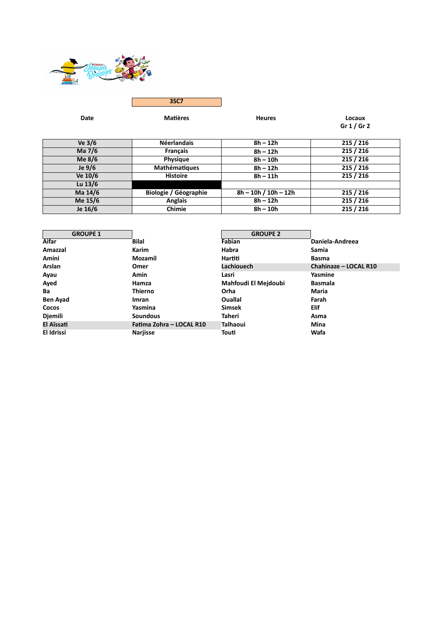

| Ve $3/6$  | <b>Néerlandais</b>    | $8h - 12h$             | 215/216   |
|-----------|-----------------------|------------------------|-----------|
| Ma 7/6    | <b>Francais</b>       | $8h - 12h$             | 215 / 216 |
| Me 8/6    | <b>Physique</b>       | $8h - 10h$             | 215 / 216 |
| Je $9/6$  | Mathématiques         | $8h - 12h$             | 215 / 216 |
| Ve 10/6   | <b>Histoire</b>       | $8h - 11h$             | 215 / 216 |
| Lu $13/6$ |                       |                        |           |
| Ma 14/6   | Biologie / Géographie | $8h - 10h / 10h - 12h$ | 215 / 216 |
| Me 15/6   | <b>Anglais</b>        | $8h - 12h$             | 215 / 216 |
| Je 16/6   | Chimie                | $8h - 10h$             | 215 / 216 |

| <b>GROUPE 1</b> |                          | <b>GROUPE 2</b>      |                       |
|-----------------|--------------------------|----------------------|-----------------------|
| Aifar           | <b>Bilal</b>             | Fabian               | Daniela-Andreea       |
| Amazzal         | <b>Karim</b>             | Habra                | Samia                 |
| Amini           | Mozamil                  | Hartiti              | <b>Basma</b>          |
| Arslan          | Omer                     | <b>Lachiouech</b>    | Chahinaze - LOCAL R10 |
| Ayau            | Amin                     | Lasri                | Yasmine               |
| Ayed            | Hamza                    | Mahfoudi El Mejdoubi | <b>Basmala</b>        |
| Ba              | Thierno                  | Orha                 | Maria                 |
| <b>Ben Ayad</b> | <b>Imran</b>             | <b>Ouallal</b>       | Farah                 |
| Cocos           | Yasmina                  | <b>Simsek</b>        | <b>Elif</b>           |
| Djemili         | <b>Soundous</b>          | Taheri               | Asma                  |
| El Aïssati      | Fatima Zohra - LOCAL R10 | <b>Talhaoui</b>      | Mina                  |
| El Idrissi      | <b>Narjisse</b>          | Touti                | Wafa                  |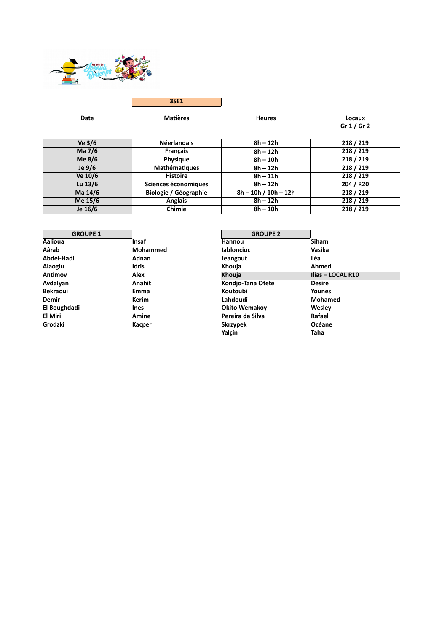

**3SE1**

| Ve $3/6$  | <b>Néerlandais</b>    | $8h - 12h$             | 218 / 219 |
|-----------|-----------------------|------------------------|-----------|
| Ma 7/6    | <b>Francais</b>       | $8h - 12h$             | 218 / 219 |
| Me 8/6    | <b>Physique</b>       | $8h - 10h$             | 218 / 219 |
| Je $9/6$  | Mathématiques         | $8h - 12h$             | 218 / 219 |
| Ve 10/6   | <b>Histoire</b>       | $8h - 11h$             | 218 / 219 |
| Lu $13/6$ | Sciences économiques  | $8h - 12h$             | 204 / R20 |
| Ma 14/6   | Biologie / Géographie | $8h - 10h / 10h - 12h$ | 218 / 219 |
| Me 15/6   | <b>Anglais</b>        | $8h - 12h$             | 218 / 219 |
| Je 16/6   | Chimie                | $8h - 10h$             | 218 / 219 |

| <b>GROUPE 1</b> |              | <b>GROUPE 2</b>      |                   |
|-----------------|--------------|----------------------|-------------------|
| Aalioua         | <b>Insaf</b> | Hannou               | <b>Siham</b>      |
| Aârab           | Mohammed     | <b>lablonciuc</b>    | Vasika            |
| Abdel-Hadi      | Adnan        | Jeangout             | Léa               |
| Alaoglu         | <b>Idris</b> | Khouja               | Ahmed             |
| Antimov         | Alex         | Khouja               | Ilias - LOCAL R10 |
| Avdalyan        | Anahit       | Kondjo-Tana Otete    | <b>Desire</b>     |
| <b>Bekraoui</b> | Emma         | Koutoubi             | <b>Younes</b>     |
| <b>Demir</b>    | Kerim        | Lahdoudi             | Mohamed           |
| El Boughdadi    | <b>Ines</b>  | <b>Okito Wemakov</b> | Wesley            |
| El Miri         | Amine        | Pereira da Silva     | Rafael            |
| Grodzki         | Kacper       | <b>Skrzypek</b>      | Océane            |
|                 |              | Yalçin               | Taha              |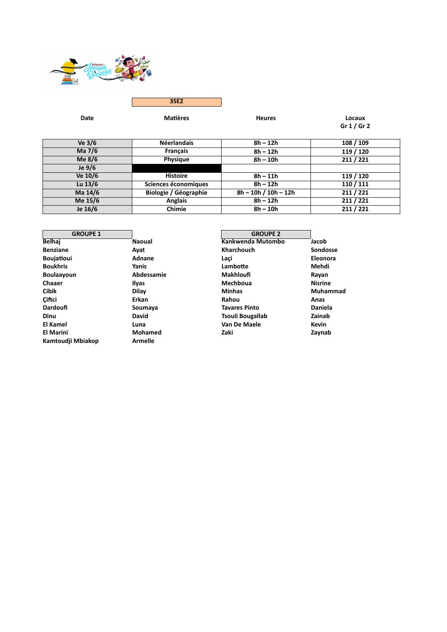

**3SE2**

| Ve $3/6$  | <b>Néerlandais</b>    | $8h - 12h$             | 108 / 109 |
|-----------|-----------------------|------------------------|-----------|
| Ma 7/6    | <b>Francais</b>       | $8h - 12h$             | 119 / 120 |
| Me $8/6$  | <b>Physique</b>       | $8h - 10h$             | 211/221   |
| Je $9/6$  |                       |                        |           |
| Ve 10/6   | <b>Histoire</b>       | $8h - 11h$             | 119 / 120 |
| Lu $13/6$ | Sciences économiques  | $8h - 12h$             | 110 / 111 |
| Ma 14/6   | Biologie / Géographie | $8h - 10h / 10h - 12h$ | 211/221   |
| Me 15/6   | <b>Anglais</b>        | $8h - 12h$             | 211/221   |
| Je 16/6   | Chimie                | $8h - 10h$             | 211/221   |

| <b>GROUPE 1</b>   |                | <b>GROUPE 2</b>      |                |
|-------------------|----------------|----------------------|----------------|
| <b>Belhaj</b>     | <b>Naoual</b>  | Kankwenda Mutombo    | Jacob          |
| <b>Benziane</b>   | Avat           | <b>Kharchouch</b>    | Sondosse       |
| <b>Boujatioui</b> | Adnane         | Laci                 | Eleonora       |
| <b>Boukhris</b>   | Yanis          | Lambotte             | Mehdi          |
| <b>Boulaayoun</b> | Abdessamie     | Makhloufi            | Rayan          |
| Chaaer            | Ilyas          | Mechboua             | <b>Nisrine</b> |
| Cibik             | Dilay          | <b>Minhas</b>        | Muhammad       |
| Ciftci            | Erkan          | Rahou                | Anas           |
| <b>Dardoufi</b>   | Soumaya        | <b>Tavares Pinto</b> | <b>Daniela</b> |
| Dinu              | <b>David</b>   | Tsouli Bougallab     | Zainab         |
| El Kamel          | Luna           | Van De Maele         | <b>Kevin</b>   |
| El Marini         | <b>Mohamed</b> | Zaki                 | Zaynab         |
| Kamtoudji Mbiakop | <b>Armelle</b> |                      |                |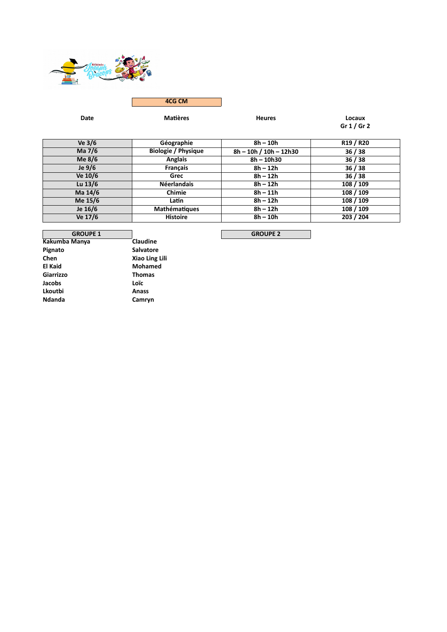

**4CG CM**

**Date Matières Heures Locaux Gr 1 / Gr 2**

| Ve $3/6$  | Géographie                 | $8h - 10h$               | R <sub>19</sub> / R <sub>20</sub> |
|-----------|----------------------------|--------------------------|-----------------------------------|
| Ma 7/6    | <b>Biologie / Physique</b> | $8h - 10h / 10h - 12h30$ | 36/38                             |
| Me 8/6    | <b>Anglais</b>             | $8h - 10h30$             | 36/38                             |
| Je $9/6$  | <b>Français</b>            | $8h - 12h$               | 36/38                             |
| Ve 10/6   | Grec                       | $8h - 12h$               | 36/38                             |
| Lu $13/6$ | <b>Néerlandais</b>         | $8h - 12h$               | 108 / 109                         |
| Ma 14/6   | <b>Chimie</b>              | $8h - 11h$               | 108 / 109                         |
| Me 15/6   | Latin                      | $8h - 12h$               | 108 / 109                         |
| Je 16/6   | Mathématiques              | $8h - 12h$               | 108 / 109                         |
| Ve 17/6   | <b>Histoire</b>            | $8h - 10h$               | 203 / 204                         |

**GROUPE 1**<br> **Claudine**<br> **Claudine Kakumba Manya**<br>Pignato **Pignato Salvatore Chen Xiao Ling Lili Mohamed**<br>Thomas **Giarrizzo Thomas Jacobs Loïc Lkoutbi Anass Ndanda Camryn**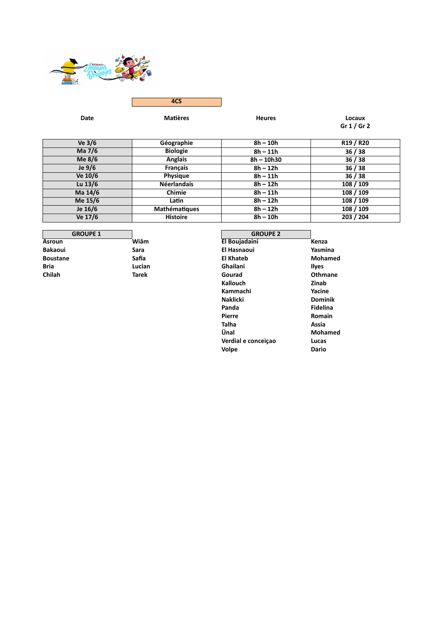

**4CS**

| Ve $3/6$  | Géographie           | $8h - 10h$   | R <sub>19</sub> / R <sub>20</sub> |
|-----------|----------------------|--------------|-----------------------------------|
| Ma 7/6    | <b>Biologie</b>      | $8h - 11h$   | 36/38                             |
| Me $8/6$  | <b>Anglais</b>       | $8h - 10h30$ | 36/38                             |
| Je $9/6$  | Français             | $8h - 12h$   | 36/38                             |
| Ve 10/6   | <b>Physique</b>      | $8h - 11h$   | 36/38                             |
| Lu $13/6$ | <b>Néerlandais</b>   | $8h - 12h$   | 108 / 109                         |
| Ma 14/6   | Chimie               | $8h - 11h$   | 108 / 109                         |
| Me 15/6   | Latin                | $8h - 12h$   | 108 / 109                         |
| Je 16/6   | <b>Mathématiques</b> | $8h - 12h$   | 108 / 109                         |
| Ve 17/6   | <b>Histoire</b>      | $8h - 10h$   | 203 / 204                         |

| <b>GROUPE 1</b> |        | <b>GROUPE 2</b>  |
|-----------------|--------|------------------|
| <b>Asroun</b>   | Wiâm   | El Boujadaini    |
| <b>Bakaoui</b>  | Sara   | El Hasnaoui      |
| <b>Boustane</b> | Safia  | <b>El Khateb</b> |
| <b>Bria</b>     | Lucian | Ghailani         |
| Chilah          | Tarek  | Gourad           |

| <b>GROUPE 1</b> |              | <b>GROUPE 2</b>     |                 |
|-----------------|--------------|---------------------|-----------------|
| Asroun          | Wiâm         | El Boujadaini       | Kenza           |
| Bakaoui         | Sara         | El Hasnaoui         | Yasmina         |
| <b>Boustane</b> | Safia        | <b>El Khateb</b>    | Mohamed         |
| Bria            | Lucian       | Ghailani            | <b>Ilyes</b>    |
| Chilah          | <b>Tarek</b> | Gourad              | Othmane         |
|                 |              | Kallouch            | Zinab           |
|                 |              | Kammachi            | Yacine          |
|                 |              | <b>Naklicki</b>     | <b>Dominik</b>  |
|                 |              | Panda               | <b>Fidelina</b> |
|                 |              | Pierre              | Romain          |
|                 |              | <b>Talha</b>        | Assia           |
|                 |              | Ünal                | Mohamed         |
|                 |              | Verdial e conceicao | Lucas           |
|                 |              | Volpe               | <b>Dario</b>    |
|                 |              |                     |                 |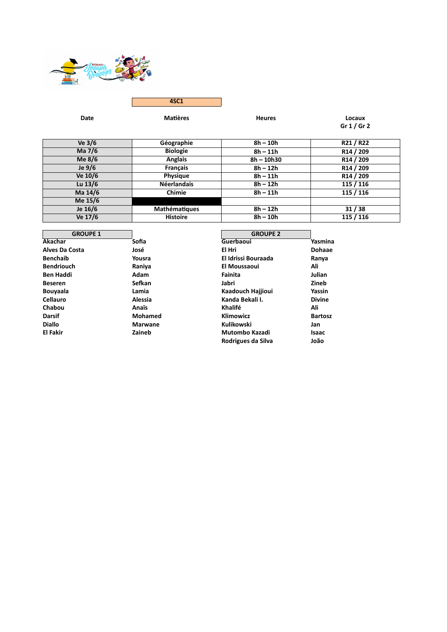

**Date Matières Heures Locaux Gr 1 / Gr 2**

| Ve $3/6$  | Géographie           | $8h - 10h$   | R21 / R22             |
|-----------|----------------------|--------------|-----------------------|
| Ma 7/6    | <b>Biologie</b>      | $8h - 11h$   | R <sub>14</sub> / 209 |
| Me $8/6$  | <b>Anglais</b>       | $8h - 10h30$ | R <sub>14</sub> / 209 |
| Je $9/6$  | Français             | $8h - 12h$   | R <sub>14</sub> / 209 |
| Ve 10/6   | <b>Physique</b>      | $8h - 11h$   | R <sub>14</sub> / 209 |
| Lu $13/6$ | <b>Néerlandais</b>   | $8h - 12h$   | 115 / 116             |
| Ma 14/6   | Chimie               | $8h - 11h$   | 115 / 116             |
| Me 15/6   |                      |              |                       |
| Je 16/6   | <b>Mathématiques</b> | $8h - 12h$   | 31/38                 |
| Ve 17/6   | <b>Histoire</b>      | $8h - 10h$   | 115 / 116             |

**GROUPE 1**<br>Sofia<br>G **Akachar Sofia Guerbaoui Yasmina Alves Da Costa José El Hri Dohaae Benchaib Yousra El Idrissi Bouraada Ranya Bendriouch Raniya El Montropolis El Montropolis El Montropolis El Montropolis El Montropolis El Montropolis El Montropolis El Montropolis El Montropolis El Montropolis El Montropolis El Montropolis El Montropolis El M Ben Haddi Adam Fainita Julian Beseren Sefkan Jabri Zineb Bouyaala Lamia Kaadouch Hajjioui Yassin Cellauro Alessia Kanda Bekali I. Divine Chabou Anaïs Khalifé Ali Darsif Mohamed K**<br> **Diallo Marwane K Diallo Marwane Marwane Marwane Marwane Marwane Marwane Marwane Marwane Marwane Marwane Marwane Marwane Marwane Marwane Marwane Marwane Marwane Marwane Marwane Marwane Marwane Ma El Fakir Zaineb Mutombo Kazadi Isaac**

| <b>GROUPE 2</b>     |                |
|---------------------|----------------|
| Guerbaoui           | Yasmina        |
| El Hri              | <b>Dohaae</b>  |
| El Idrissi Bouraada | Ranya          |
| <b>El Moussaoui</b> | Ali            |
| Fainita             | Julian         |
| Jabri               | Zineb          |
| Kaadouch Hajjioui   | Yassin         |
| Kanda Bekali I.     | <b>Divine</b>  |
| Khalifé             | Ali            |
| Klimowicz           | <b>Bartosz</b> |
| Kulikowski          | Jan            |
| Mutombo Kazadi      | Isaac          |
| Rodrigues da Silva  | João           |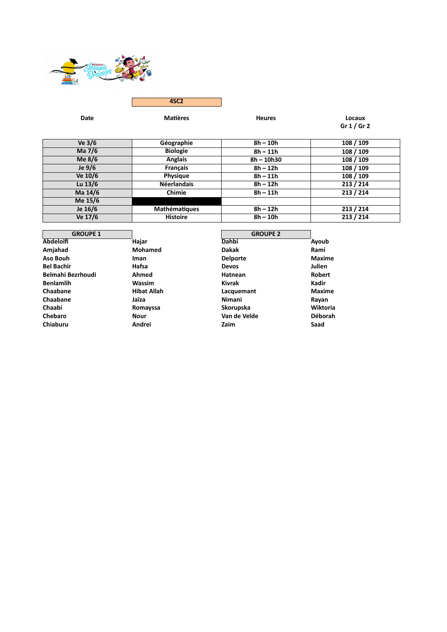

| Ve $3/6$  | Géographie           | $8h - 10h$   | 108 / 109 |
|-----------|----------------------|--------------|-----------|
| Ma 7/6    | <b>Biologie</b>      | $8h - 11h$   | 108 / 109 |
| Me $8/6$  | <b>Anglais</b>       | $8h - 10h30$ | 108 / 109 |
| Je $9/6$  | <b>Français</b>      | $8h - 12h$   | 108 / 109 |
| Ve 10/6   | <b>Physique</b>      | $8h - 11h$   | 108 / 109 |
| Lu $13/6$ | <b>Néerlandais</b>   | $8h - 12h$   | 213 / 214 |
| Ma 14/6   | Chimie               | $8h - 11h$   | 213 / 214 |
| Me 15/6   |                      |              |           |
| Je 16/6   | <b>Mathématiques</b> | $8h - 12h$   | 213 / 214 |
| Ve 17/6   | <b>Histoire</b>      | $8h - 10h$   | 213 / 214 |

| <b>GROUPE 1</b>          |                    | <b>GROUPE 2</b> |               |
|--------------------------|--------------------|-----------------|---------------|
| <b>Abdeloifi</b>         | Hajar              | Dahbi           | Ayoub         |
| Amjahad                  | Mohamed            | <b>Dakak</b>    | Rami          |
| Aso Bouh                 | <b>Iman</b>        | <b>Delporte</b> | <b>Maxime</b> |
| <b>Bel Bachir</b>        | Hafsa              | <b>Devos</b>    | Julien        |
| <b>Belmahi Bezrhoudi</b> | Ahmed              | Hatnean         | <b>Robert</b> |
| <b>Benlamlih</b>         | <b>Wassim</b>      | <b>Kivrak</b>   | Kadir         |
| Chaabane                 | <b>Hibat Allah</b> | Lacquemant      | <b>Maxime</b> |
| Chaabane                 | Jaïza              | Nimani          | Rayan         |
| Chaabi                   | Romayssa           | Skorupska       | Wiktoria      |
| Chebaro                  | Nour               | Van de Velde    | Déborah       |
| <b>Chiaburu</b>          | Andrei             | Zaim            | Saad          |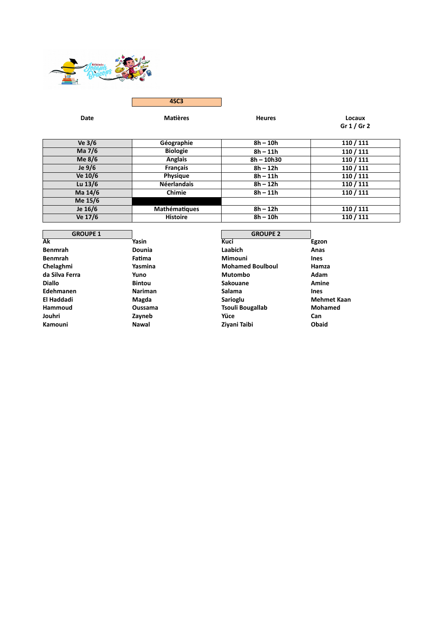

**Date Matières Heures Locaux Gr 1 / Gr 2**

| Ve $3/6$  | Géographie           | $8h - 10h$   | 110 / 111 |
|-----------|----------------------|--------------|-----------|
| Ma 7/6    | <b>Biologie</b>      | $8h - 11h$   | 110 / 111 |
| Me $8/6$  | <b>Anglais</b>       | $8h - 10h30$ | 110 / 111 |
| Je $9/6$  | <b>Français</b>      | $8h - 12h$   | 110 / 111 |
| Ve 10/6   | <b>Physique</b>      | $8h - 11h$   | 110 / 111 |
| Lu $13/6$ | <b>Néerlandais</b>   | $8h - 12h$   | 110 / 111 |
| Ma 14/6   | <b>Chimie</b>        | $8h - 11h$   | 110 / 111 |
| Me 15/6   |                      |              |           |
| Je 16/6   | <b>Mathématiques</b> | $8h - 12h$   | 110 / 111 |
| Ve 17/6   | <b>Histoire</b>      | $8h - 10h$   | 110 / 111 |

| <b>GROUPE 1</b> |                | <b>GROUPE 2</b>         |                    |
|-----------------|----------------|-------------------------|--------------------|
| Ak              | Yasin          | Kuci                    | Egzon              |
| <b>Benmrah</b>  | Dounia         | Laabich                 | Anas               |
| <b>Benmrah</b>  | Fatima         | <b>Mimouni</b>          | <b>Ines</b>        |
| Chelaghmi       | Yasmina        | <b>Mohamed Boulboul</b> | Hamza              |
| da Silva Ferra  | Yuno           | <b>Mutombo</b>          | Adam               |
| <b>Diallo</b>   | <b>Bintou</b>  | Sakouane                | Amine              |
| Edehmanen       | <b>Nariman</b> | Salama                  | <b>Ines</b>        |
| El Haddadi      | Magda          | Sarioglu                | <b>Mehmet Kaan</b> |
| Hammoud         | <b>Oussama</b> | <b>Tsouli Bougallab</b> | Mohamed            |
| Jouhri          | Zayneb         | Yüce                    | Can                |
| Kamouni         | <b>Nawal</b>   | Ziyani Taibi            | Obaid              |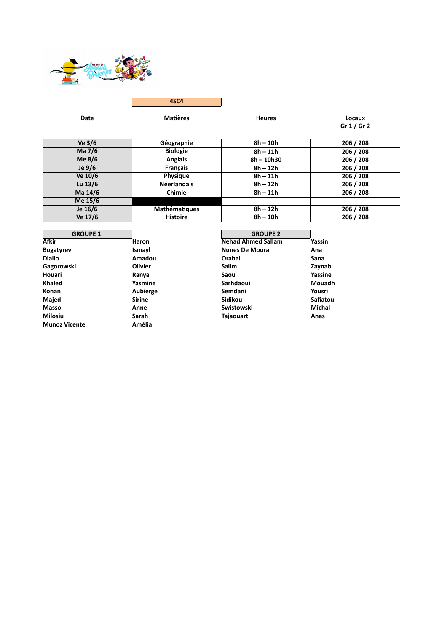

| Ve 3/6    | Géographie         | $8h - 10h$   | 206 / 208 |
|-----------|--------------------|--------------|-----------|
| Ma 7/6    | <b>Biologie</b>    | $8h - 11h$   | 206 / 208 |
| Me 8/6    | <b>Anglais</b>     | $8h - 10h30$ | 206 / 208 |
| Je $9/6$  | <b>Français</b>    | $8h - 12h$   | 206 / 208 |
| Ve 10/6   | <b>Physique</b>    | $8h - 11h$   | 206 / 208 |
| Lu $13/6$ | <b>Néerlandais</b> | $8h - 12h$   | 206 / 208 |
| Ma 14/6   | <b>Chimie</b>      | $8h - 11h$   | 206 / 208 |
| Me 15/6   |                    |              |           |
| Je 16/6   | Mathématiques      | $8h - 12h$   | 206 / 208 |
| Ve 17/6   | <b>Histoire</b>    | $8h - 10h$   | 206 / 208 |

| <b>GROUPE 1</b>      |                | <b>GROUPE 2</b>           |          |
|----------------------|----------------|---------------------------|----------|
| Afkir                | Haron          | <b>Nehad Ahmed Sallam</b> | Yassin   |
| <b>Bogatyrev</b>     | Ismayl         | <b>Nunes De Moura</b>     | Ana      |
| <b>Diallo</b>        | Amadou         | Orabai                    | Sana     |
| Gagorowski           | <b>Olivier</b> | <b>Salim</b>              | Zaynab   |
| Houari               | Ranya          | Saou                      | Yassine  |
| <b>Khaled</b>        | Yasmine        | <b>Sarhdaoui</b>          | Mouadh   |
| Konan                | Aubierge       | Semdani                   | Yousri   |
| Majed                | <b>Sirine</b>  | Sidikou                   | Safiatou |
| Masso                | Anne           | Swistowski                | Michal   |
| <b>Milosiu</b>       | Sarah          | <b>Tajaouart</b>          | Anas     |
| <b>Munoz Vicente</b> | Amélia         |                           |          |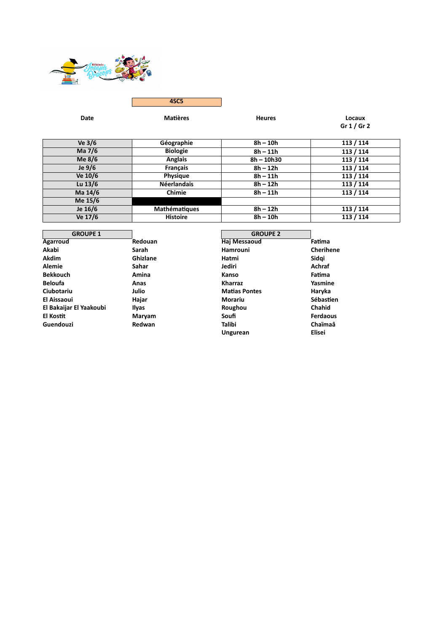

| Ve $3/6$  | Géographie           | $8h - 10h$   | 113 / 114 |
|-----------|----------------------|--------------|-----------|
| Ma 7/6    | <b>Biologie</b>      | $8h - 11h$   | 113 / 114 |
| Me $8/6$  | <b>Anglais</b>       | $8h - 10h30$ | 113 / 114 |
| Je $9/6$  | <b>Francais</b>      | $8h - 12h$   | 113 / 114 |
| Ve 10/6   | <b>Physique</b>      | $8h - 11h$   | 113 / 114 |
| Lu $13/6$ | <b>Néerlandais</b>   | $8h - 12h$   | 113 / 114 |
| Ma 14/6   | Chimie               | $8h - 11h$   | 113 / 114 |
| Me 15/6   |                      |              |           |
| Je 16/6   | <b>Mathématiques</b> | $8h - 12h$   | 113 / 114 |
| Ve 17/6   | <b>Histoire</b>      | $8h - 10h$   | 113 / 114 |

| <b>GROUPE 1</b>         |                 | <b>GROUPE 2</b>      |                 |
|-------------------------|-----------------|----------------------|-----------------|
| Agarroud                | Redouan         | Haj Messaoud         | Fatima          |
| Akabi                   | Sarah           | <b>Hamrouni</b>      | Cherihene       |
| Akdim                   | <b>Ghizlane</b> | Hatmi                | Sidgi           |
| Alemie                  | Sahar           | Jediri               | Achraf          |
| <b>Bekkouch</b>         | Amina           | Kanso                | Fatima          |
| <b>Beloufa</b>          | Anas            | <b>Kharraz</b>       | Yasmine         |
| Ciubotariu              | Julio           | <b>Matias Pontes</b> | Haryka          |
| El Aissaoui             | Hajar           | <b>Morariu</b>       | Sébastien       |
| El Bakaijar El Yaakoubi | Ilyas           | Roughou              | <b>Chahid</b>   |
| El Kostit               | Maryam          | Soufi                | <b>Ferdaous</b> |
| Guendouzi               | Redwan          | Talibi               | Chaïmaâ         |
|                         |                 |                      | --- -           |

| <b>GROUPE 2</b>      |          |
|----------------------|----------|
| Haj Messaoud         | Fatima   |
| <b>Hamrouni</b>      | Cherihe  |
| Hatmi                | Sidgi    |
| Jediri               | Achraf   |
| Kanso                | Fatima   |
| <b>Kharraz</b>       | Yasmine  |
| <b>Matias Pontes</b> | Haryka   |
| Morariu              | Sébastie |
| Roughou              | Chahid   |
| Soufi                | Ferdaou  |
| Talibi               | Chaïma   |
| <b>Ungurean</b>      | Elisei   |
|                      |          |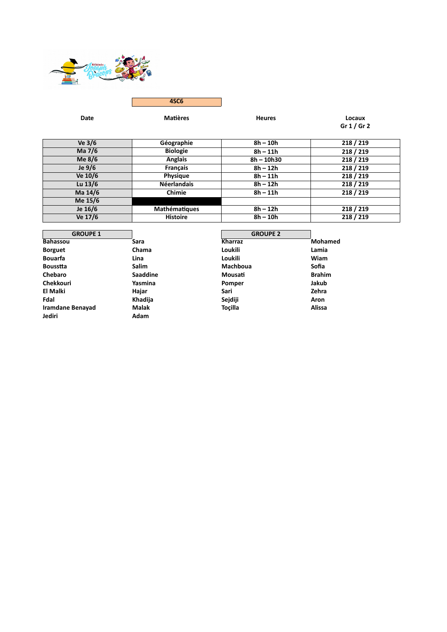

| Ve $3/6$  | Géographie         | $8h - 10h$   | 218 / 219 |
|-----------|--------------------|--------------|-----------|
| Ma 7/6    | <b>Biologie</b>    | $8h - 11h$   | 218 / 219 |
| Me $8/6$  | <b>Anglais</b>     | $8h - 10h30$ | 218 / 219 |
| Je 9/6    | <b>Français</b>    | $8h - 12h$   | 218 / 219 |
| Ve 10/6   | <b>Physique</b>    | $8h - 11h$   | 218 / 219 |
| Lu $13/6$ | <b>Néerlandais</b> | $8h - 12h$   | 218 / 219 |
| Ma 14/6   | Chimie             | $8h - 11h$   | 218 / 219 |
| Me 15/6   |                    |              |           |
| Je 16/6   | Mathématiques      | $8h - 12h$   | 218 / 219 |
| Ve 17/6   | <b>Histoire</b>    | $8h - 10h$   | 218 / 219 |

| <b>GROUPE 1</b>  |              | <b>GROUPE 2</b> |                |
|------------------|--------------|-----------------|----------------|
| <b>Bahassou</b>  | Sara         | <b>Kharraz</b>  | <b>Mohamed</b> |
| <b>Borguet</b>   | Chama        | Loukili         | Lamia          |
| <b>Bouarfa</b>   | Lina         | Loukili         | Wiam           |
| <b>Bousstta</b>  | <b>Salim</b> | <b>Machboua</b> | Sofia          |
| Chebaro          | Saaddine     | Mousati         | <b>Brahim</b>  |
| <b>Chekkouri</b> | Yasmina      | Pomper          | Jakub          |
| El Malki         | Hajar        | Sari            | Zehra          |
| Fdal             | Khadija      | Sejdiji         | Aron           |
| Iramdane Benayad | <b>Malak</b> | <b>Tocilla</b>  | Alissa         |
| Jediri           | Adam         |                 |                |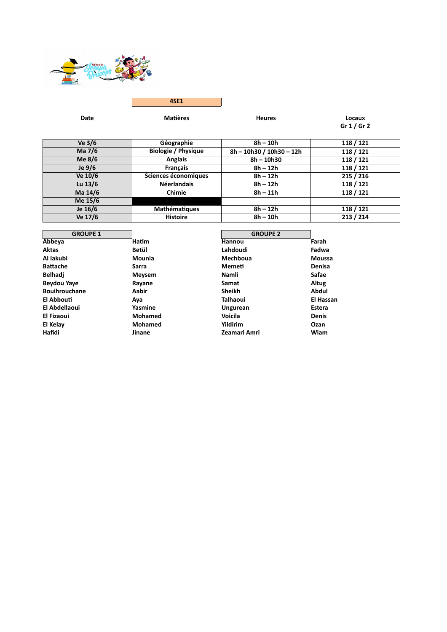

**4SE1**

| Ve $3/6$  | Géographie                 | $8h - 10h$               | 118 / 121 |
|-----------|----------------------------|--------------------------|-----------|
| Ma 7/6    | <b>Biologie / Physique</b> | 8h - 10h30 / 10h30 - 12h | 118 / 121 |
| Me $8/6$  | <b>Anglais</b>             | $8h - 10h30$             | 118 / 121 |
| Je $9/6$  | <b>Français</b>            | $8h - 12h$               | 118 / 121 |
| Ve 10/6   | Sciences économiques       | $8h - 12h$               | 215 / 216 |
| Lu $13/6$ | <b>Néerlandais</b>         | $8h - 12h$               | 118 / 121 |
| Ma 14/6   | Chimie                     | $8h - 11h$               | 118 / 121 |
| Me 15/6   |                            |                          |           |
| Je 16/6   | <b>Mathématiques</b>       | $8h - 12h$               | 118 / 121 |
| Ve 17/6   | <b>Histoire</b>            | $8h - 10h$               | 213 / 214 |

| <b>GROUPE 1</b>      |                | <b>GROUPE 2</b> |               |
|----------------------|----------------|-----------------|---------------|
| Abbeya               | <b>Hatim</b>   | Hannou          | Farah         |
| Aktas                | Betül          | Lahdoudi        | Fadwa         |
| Al lakubi            | Mounia         | Mechboua        | <b>Moussa</b> |
| <b>Battache</b>      | Sarra          | Memeti          | Denisa        |
| Belhadi              | Meysem         | Namli           | Safae         |
| Beydou Yaye          | Rayane         | Samat           | Altug         |
| <b>Bouihrouchane</b> | Aabir          | <b>Sheikh</b>   | Abdul         |
| El Abbouti           | Aya            | Talhaoui        | El Hassan     |
| El Abdellaoui        | Yasmine        | <b>Ungurean</b> | <b>Estera</b> |
| El Fizaoui           | <b>Mohamed</b> | Voicila         | <b>Denis</b>  |
| El Kelay             | <b>Mohamed</b> | <b>Yildirim</b> | Ozan          |
| Hafidi               | Jinane         | Zeamari Amri    | Wiam          |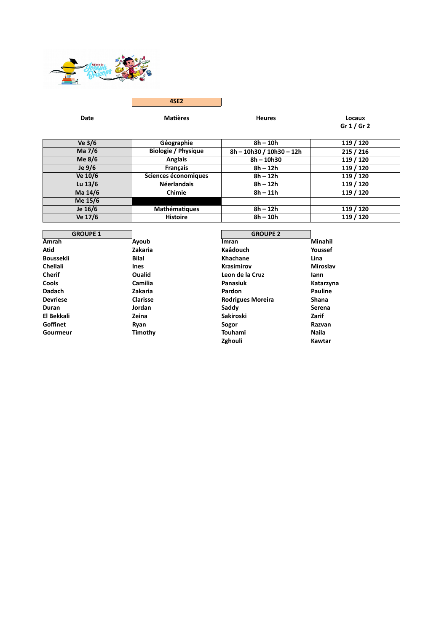

**4SE2**

| Ve 3/6    | Géographie                 | $8h - 10h$               | 119 / 120 |
|-----------|----------------------------|--------------------------|-----------|
| Ma 7/6    | <b>Biologie / Physique</b> | 8h - 10h30 / 10h30 - 12h | 215/216   |
| Me $8/6$  | Anglais                    | $8h - 10h30$             | 119 / 120 |
| Je $9/6$  | <b>Francais</b>            | $8h - 12h$               | 119 / 120 |
| Ve 10/6   | Sciences économiques       | $8h - 12h$               | 119 / 120 |
| Lu $13/6$ | <b>Néerlandais</b>         | $8h - 12h$               | 119 / 120 |
| Ma 14/6   | <b>Chimie</b>              | $8h - 11h$               | 119 / 120 |
| Me 15/6   |                            |                          |           |
| Je 16/6   | Mathématiques              | $8h - 12h$               | 119 / 120 |
| Ve 17/6   | <b>Histoire</b>            | $8h - 10h$               | 119 / 120 |

| <b>GROUPE 1</b>  |                 | <b>GROUPE 2</b>          |                 |
|------------------|-----------------|--------------------------|-----------------|
| Amrah            | Ayoub           | Imran                    | <b>Minahil</b>  |
| Atid             | Zakaria         | Kaâdouch                 | Youssef         |
| <b>Boussekli</b> | <b>Bilal</b>    | <b>Khachane</b>          | Lina            |
| <b>Chellali</b>  | <b>Ines</b>     | <b>Krasimirov</b>        | <b>Miroslav</b> |
| <b>Cherif</b>    | <b>Oualid</b>   | Leon de la Cruz          | lann            |
| Cools            | Camilia         | Panasiuk                 | Katarzyna       |
| <b>Dadach</b>    | Zakaria         | Pardon                   | <b>Pauline</b>  |
| <b>Devriese</b>  | <b>Clarisse</b> | <b>Rodrigues Moreira</b> | <b>Shana</b>    |
| Duran            | Jordan          | Saddy                    | Serena          |
| El Bekkali       | Zeina           | <b>Sakiroski</b>         | Zarif           |
| Goffinet         | Ryan            | Sogor                    | Razvan          |
| Gourmeur         | Timothy         | <b>Touhami</b>           | Naila           |
|                  |                 |                          |                 |

| <b>GROUPE 2</b>          |               |
|--------------------------|---------------|
| Imran                    | Minahi        |
| <b>Kaâdouch</b>          | <b>Yousse</b> |
| Khachane                 | Lina          |
| <b>Krasimirov</b>        | Mirosla       |
| Leon de la Cruz          | lann          |
| Panasiuk                 | Katarzy       |
| Pardon                   | Pauline       |
| <b>Rodrigues Moreira</b> | Shana         |
| Saddv                    | Serena        |
| Sakiroski                | Zarif         |
| Sogor                    | Razvan        |
| Touhami                  | Naila         |
| Zghouli                  | Kawtar        |
|                          |               |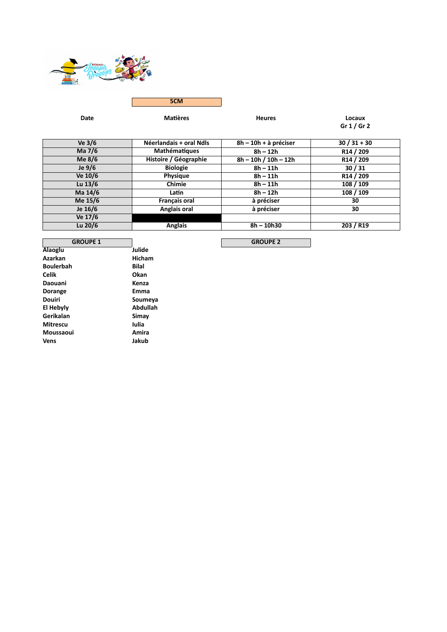

**5CM**

**Date Matières Heures Locaux Gr 1 / Gr 2**

| Ve $3/6$  | Néerlandais + oral Ndls | 8h - 10h + à préciser  | $30/31 + 30$          |
|-----------|-------------------------|------------------------|-----------------------|
| Ma 7/6    | <b>Mathématiques</b>    | $8h - 12h$             | R14 / 209             |
| Me $8/6$  | Histoire / Géographie   | $8h - 10h / 10h - 12h$ | R <sub>14</sub> / 209 |
| Je $9/6$  | <b>Biologie</b>         | $8h - 11h$             | 30/31                 |
| Ve 10/6   | <b>Physique</b>         | $8h - 11h$             | R14 / 209             |
| Lu $13/6$ | Chimie                  | $8h - 11h$             | 108 / 109             |
| Ma 14/6   | Latin                   | $8h - 12h$             | 108 / 109             |
| Me 15/6   | Français oral           | à préciser             | 30                    |
| Je 16/6   | Anglais oral            | à préciser             | 30                    |
| Ve 17/6   |                         |                        |                       |
| Lu $20/6$ | <b>Anglais</b>          | $8h - 10h30$           | 203 / R19             |

**GROUPE 1**<br> **Julide**<br> **Julide Alaoglu Alaoglu Alaoglu Alaoglu Azarkan Hicham Azarkan Hicham**<br> **Bilah Bilah Boulerbah**<br>Celik **C**kan<br>Kenza **Daouani Kenza Dorange**<br>**Douiri** Soumeya<br>**Abdullah El Hebyly Abdull**<br>**Gerikalan Abdull Gerikalan Sima**<br> **Mitrescu Sima Mitrescu Iulia Moussaoui Amira Vens Jakub**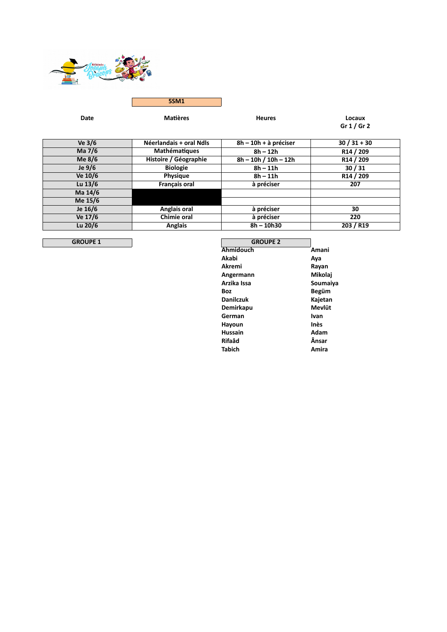

**5SM1**

**Date Matières Heures Locaux Gr 1 / Gr 2**

| Ve $3/6$  | Néerlandais + oral Ndls | $8h - 10h + \lambda$ préciser | $30/31+30$            |
|-----------|-------------------------|-------------------------------|-----------------------|
| Ma 7/6    | Mathématiques           | $8h - 12h$                    | R14 / 209             |
| Me $8/6$  | Histoire / Géographie   | $8h - 10h / 10h - 12h$        | R <sub>14</sub> / 209 |
| Je $9/6$  | <b>Biologie</b>         | $8h - 11h$                    | 30/31                 |
| Ve 10/6   | <b>Physique</b>         | $8h - 11h$                    | R14 / 209             |
| Lu $13/6$ | <b>Français oral</b>    | à préciser                    | 207                   |
| Ma 14/6   |                         |                               |                       |
| Me 15/6   |                         |                               |                       |
| Je 16/6   | Anglais oral            | à préciser                    | 30                    |
| Ve 17/6   | Chimie oral             | à préciser                    | 220                   |
| Lu 20/6   | <b>Anglais</b>          | 8h - 10h30                    | 203 / R19             |

**GROUPE 1** 

| <b>GROUPE 2</b>  |          |
|------------------|----------|
| <b>Ahmidouch</b> | Amani    |
| Akabi            | Aya      |
| Akremi           | Rayan    |
| Angermann        | Mikolai  |
| Arzika Issa      | Soumaiya |
| Boz              | Begüm    |
| Danilczuk        | Kajetan  |
| Demirkapu        | Mevlüt   |
| German           | Ivan     |
| Hayoun           | Inès     |
| <b>Hussain</b>   | Adam     |
| Rifaâd           | Ânsar    |
| Tabich           | Amira    |
|                  |          |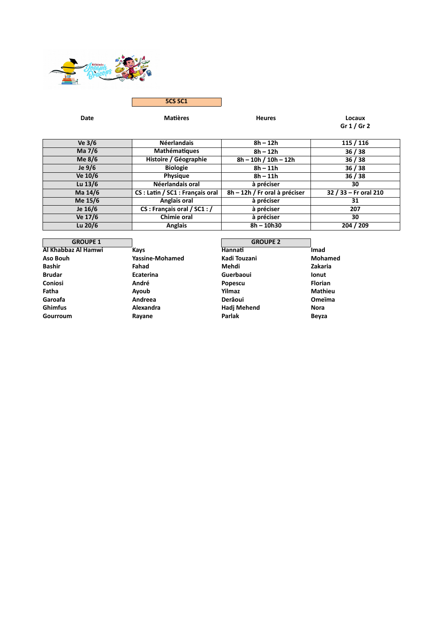

**5CS SC1**

**Date Matières Heures Locaux Gr 1 / Gr 2**

| Ve $3/6$  | <b>Néerlandais</b>               | $8h - 12h$                    | 115 / 116             |
|-----------|----------------------------------|-------------------------------|-----------------------|
| Ma 7/6    | Mathématiques                    | $8h - 12h$                    | 36/38                 |
| Me $8/6$  | Histoire / Géographie            | $8h - 10h / 10h - 12h$        | 36/38                 |
| Je $9/6$  | <b>Biologie</b>                  | $8h - 11h$                    | 36/38                 |
| Ve 10/6   | <b>Physique</b>                  | $8h - 11h$                    | 36/38                 |
| Lu $13/6$ | Néerlandais oral                 | à préciser                    | 30                    |
| Ma 14/6   | CS : Latin / SC1 : Français oral | 8h - 12h / Fr oral à préciser | 32 / 33 - Fr oral 210 |
| Me 15/6   | Anglais oral                     | à préciser                    | 31                    |
| Je 16/6   | CS: Français oral / SC1 : /      | à préciser                    | 207                   |
| Ve 17/6   | Chimie oral                      | à préciser                    | 30                    |
| Lu $20/6$ | Anglais                          | $8h - 10h30$                  | 204 / 209             |

**GROUPE 1 GROUPE 2 Al Khabbaz Al Hamwi Kays Hannati Hannati Imad Aso Bouh Yassine-Mohamed Kadi Touzani Mohamed Bashir Fahad Mehdi Zakaria Brudar Ecaterina Guerbaoui Ionut Coniosi André Popescu Florian Fatha Ayoub Yilmaz Mathieu Garoafa Andreea Derâoui Omeïma Ghimfus Alexandra Hadj Mehend Nora Gourroum Rayane Parlak Beyza**

| <b>GROUPE 2</b> |   |  |
|-----------------|---|--|
| Hannati         | ı |  |
| Kadi Touzani    |   |  |
| Mehdi           | Z |  |
| Guerbaoui       | ۱ |  |
| Popescu         | F |  |
| Yilmaz          | N |  |
| Derâoui         | C |  |
| Hadj Mehend     | N |  |
| Parlak          | E |  |
|                 |   |  |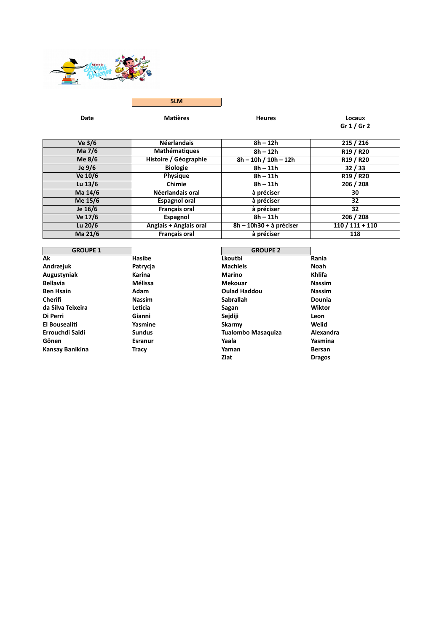

**5LM**

| Ve $3/6$  | <b>Néerlandais</b>     | $8h - 12h$                | 215/216                           |
|-----------|------------------------|---------------------------|-----------------------------------|
| Ma 7/6    | Mathématiques          | $8h - 12h$                | R <sub>19</sub> / R <sub>20</sub> |
| Me $8/6$  | Histoire / Géographie  | $8h - 10h / 10h - 12h$    | R <sub>19</sub> / R <sub>20</sub> |
| Je $9/6$  | <b>Biologie</b>        | $8h - 11h$                | 32/33                             |
| Ve 10/6   | <b>Physique</b>        | $8h - 11h$                | R <sub>19</sub> / R <sub>20</sub> |
| Lu $13/6$ | Chimie                 | $8h - 11h$                | 206 / 208                         |
| Ma 14/6   | Néerlandais oral       | à préciser                | 30                                |
| Me 15/6   | <b>Espagnol oral</b>   | à préciser                | 32                                |
| Je 16/6   | <b>Français oral</b>   | à préciser                | 32                                |
| Ve 17/6   | Espagnol               | $8h - 11h$                | 206 / 208                         |
| Lu 20/6   | Anglais + Anglais oral | $8h - 10h30 + a$ préciser | $110/111+110$                     |
| Ma 21/6   | <b>Français oral</b>   | à préciser                | 118                               |

| <b>GROUPE 1</b>   |                | <b>GROUPE 2</b>     |               |
|-------------------|----------------|---------------------|---------------|
| Ak                | Hasibe         | Lkoutbi             | Rania         |
| Andrzejuk         | Patrycia       | <b>Machiels</b>     | <b>Noah</b>   |
| Augustyniak       | Karina         | Marino              | Khlifa        |
| <b>Bellavia</b>   | Mélissa        | Mekouar             | <b>Nassim</b> |
| <b>Ben Hsain</b>  | Adam           | <b>Oulad Haddou</b> | <b>Nassim</b> |
| Cherifi           | <b>Nassim</b>  | <b>Sabrallah</b>    | Dounia        |
| da Silva Teixeira | Leticia        | Sagan               | Wiktor        |
| Di Perri          | Gianni         | Sejdiji             | Leon          |
| El Bousealiti     | Yasmine        | Skarmy              | Welid         |
| Errouchdi Saidi   | <b>Sundus</b>  | Tualombo Masaquiza  | Alexandra     |
| Gönen             | <b>Esranur</b> | Yaala               | Yasmina       |
| Kansay Banikina   | <b>Tracy</b>   | Yaman               | <b>Bersan</b> |
|                   |                | フレヘキ                | Dragos        |

| <b>GROUPE 2</b>     |               |
|---------------------|---------------|
| Lkoutbi             | Rania         |
| <b>Machiels</b>     | Noah          |
| Marino              | Khlifa        |
| Mekouar             | Nassim        |
| <b>Oulad Haddou</b> | <b>Nassim</b> |
| Sabrallah           | Dounia        |
| Sagan               | Wiktor        |
| Sejdiji             | Leon          |
| Skarmy              | Welid         |
| Tualombo Masaquiza  | Alexan        |
| Yaala               | Yasmin        |
| Yaman               | Bersan        |
| Zlat                | <b>Dragos</b> |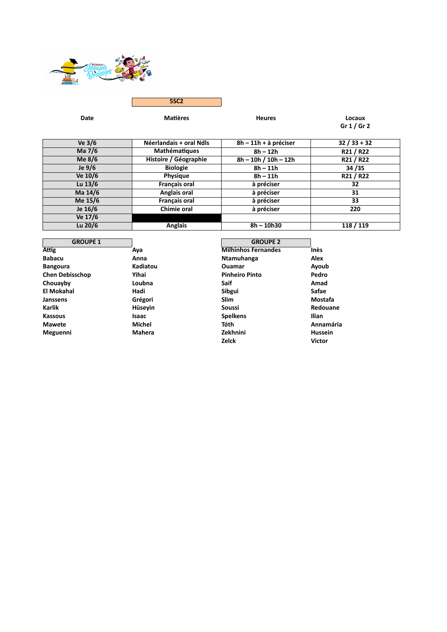

### **Date Matières Heures Locaux Gr 1 / Gr 2**

| Ve 3/6    | Néerlandais + oral Ndls | 8h - 11h + à préciser  | $32 / 33 + 32$ |
|-----------|-------------------------|------------------------|----------------|
| Ma 7/6    | Mathématiques           | $8h - 12h$             | R21 / R22      |
| Me $8/6$  | Histoire / Géographie   | $8h - 10h / 10h - 12h$ | R21 / R22      |
| Je $9/6$  | <b>Biologie</b>         | $8h - 11h$             | 34/35          |
| Ve 10/6   | Physique                | $8h - 11h$             | R21 / R22      |
| Lu $13/6$ | <b>Français oral</b>    | à préciser             | 32             |
| Ma 14/6   | Anglais oral            | à préciser             | 31             |
| Me 15/6   | <b>Français oral</b>    | à préciser             | 33             |
| Je 16/6   | Chimie oral             | à préciser             | 220            |
| Ve 17/6   |                         |                        |                |
| Lu 20/6   | <b>Anglais</b>          | $8h - 10h30$           | 118 / 119      |

**GROUPE 1 GROUPE 2 Attig Aya Milhinhos Fernandes Inès Babacu Anna Ntamuhanga Alex Bangoura Kadiatou Ouamar Ayoub Chen Debisschop Yihai Pinheiro Pinto Pedro Chouayby Loubna Chouayby Chouayby Loubna Chouayby Amad**<br> **Chouayby Choual By** *Ladi* **Choual Sibgui Choual Safae El Mokahal Hadi Sibgui Safae Janssens Grégori Slim Mostafa Karlik Hüseyin Soussi Redouane Kassous Isaac Spelkens Ilian Mawete Michel Tóth Annamária Meguenni Mahera Zekhnini Hussein Zelck Victor**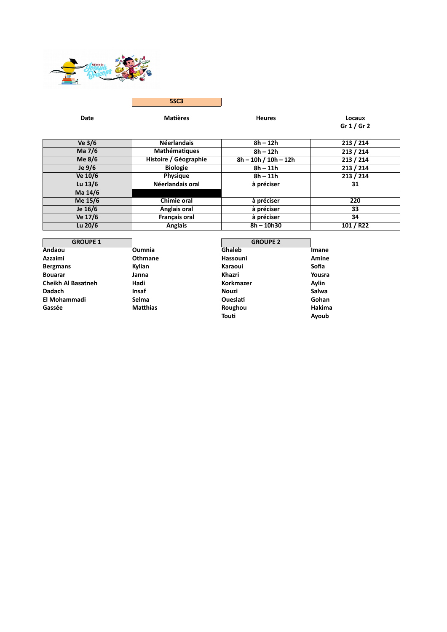

### **Date Matières Heures Locaux Gr 1 / Gr 2**

| Ve $3/6$  | <b>Néerlandais</b>    | $8h - 12h$             | 213 / 214 |
|-----------|-----------------------|------------------------|-----------|
| Ma 7/6    | Mathématiques         | $8h - 12h$             | 213 / 214 |
| Me $8/6$  | Histoire / Géographie | $8h - 10h / 10h - 12h$ | 213 / 214 |
| Je $9/6$  | <b>Biologie</b>       | $8h - 11h$             | 213 / 214 |
| Ve 10/6   | <b>Physique</b>       | $8h - 11h$             | 213 / 214 |
| Lu $13/6$ | Néerlandais oral      | à préciser             | 31        |
| Ma 14/6   |                       |                        |           |
| Me 15/6   | Chimie oral           | à préciser             | 220       |
| Je 16/6   | Anglais oral          | à préciser             | 33        |
| Ve 17/6   | <b>Français oral</b>  | à préciser             | 34        |
| Lu $20/6$ | <b>Anglais</b>        | $8h - 10h30$           | 101 / R22 |

**GROUPE 1**<br> **Comming Commis** Commis Chaleb Chaleb **Andaou Oumnia Ghaleb Imane Azzaimi Othmane Hassouni Amine Bergmans Kylian Karaoui Sofia Bouarar Janna Khazri Yousra Cheikh Al Basatneh Hadi Hadi Hadi Korkmazer Aylin Dadach Aylin Character Changes A Dadach Insaf Nouzi Salwa El Mohammadi Selma Oueslati Gohan Gassée Matthias Roughou Hakima Touti Ayoub**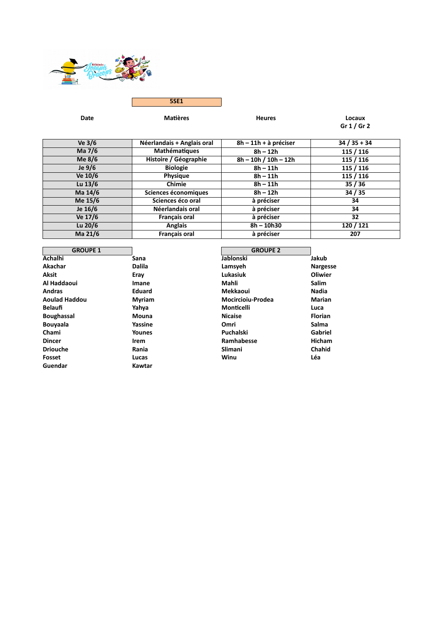

**5SE1**

| Ve 3/6    | Néerlandais + Anglais oral | 8h - 11h + à préciser  | $34 / 35 + 34$ |
|-----------|----------------------------|------------------------|----------------|
| Ma 7/6    | Mathématiques              | $8h - 12h$             | 115 / 116      |
| Me $8/6$  | Histoire / Géographie      | $8h - 10h / 10h - 12h$ | 115 / 116      |
| Je $9/6$  | <b>Biologie</b>            | $8h - 11h$             | 115 / 116      |
| Ve 10/6   | <b>Physique</b>            | $8h - 11h$             | 115 / 116      |
| Lu $13/6$ | Chimie                     | $8h - 11h$             | 35/36          |
| Ma 14/6   | Sciences économiques       | $8h - 12h$             | 34/35          |
| Me 15/6   | Sciences éco oral          | à préciser             | 34             |
| Je 16/6   | Néerlandais oral           | à préciser             | 34             |
| Ve 17/6   | Français oral              | à préciser             | 32             |
| Lu $20/6$ | <b>Anglais</b>             | $8h - 10h30$           | 120 / 121      |
| Ma 21/6   | Français oral              | à préciser             | 207            |

| <b>GROUPE 1</b>      |               | <b>GROUPE 2</b>   |                 |
|----------------------|---------------|-------------------|-----------------|
| Achalhi              | Sana          | Jablonski         | Jakub           |
| Akachar              | <b>Dalila</b> | Lamsyeh           | <b>Nargesse</b> |
| Aksit                | Eray          | Lukasiuk          | <b>Oliwier</b>  |
| Al Haddaoui          | Imane         | Mahli             | Salim           |
| <b>Andras</b>        | <b>Eduard</b> | Mekkaoui          | <b>Nadia</b>    |
| <b>Aoulad Haddou</b> | Myriam        | Mocircioiu-Prodea | Marian          |
| <b>Belaufi</b>       | Yahya         | Monticelli        | Luca            |
| <b>Boughassal</b>    | Mouna         | <b>Nicaise</b>    | <b>Florian</b>  |
| <b>Bouvaala</b>      | Yassine       | Omri              | Salma           |
| Chami                | Younes        | Puchalski         | Gabriel         |
| <b>Dincer</b>        | Irem          | Ramhabesse        | Hicham          |
| <b>Driouche</b>      | Rania         | Slimani           | Chahid          |
| Fosset               | Lucas         | Winu              | Léa             |
| Guendar              | Kawtar        |                   |                 |

| <b>GROUPE 2</b>          |              |
|--------------------------|--------------|
| ablonski                 | Jakub        |
| .amsveh                  | Narge        |
| ukasiuk                  | Oliwio       |
| ∕lahli                   | <b>Salim</b> |
| <b>Aekkaoui</b>          | <b>Nadia</b> |
| <b>Aocircioiu-Prodea</b> | Maria        |
| ∕lonticelli              | Luca         |
| licaise                  | Floria       |
| )mri                     | Salma        |
| <b>uchalski</b>          | Gabrio       |
| amhabesse}               | Hicha        |
| ilimani                  | Chahi        |
| Vinu                     | Léa          |
|                          |              |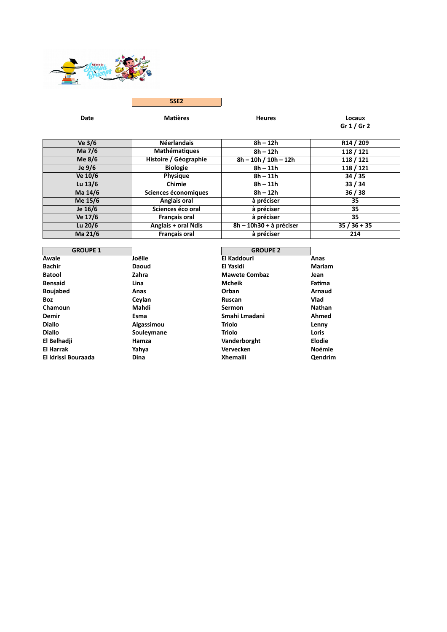

**5SE2**

| Ve 3/6    | <b>Néerlandais</b>    | $8h - 12h$              | R <sub>14</sub> / 209 |
|-----------|-----------------------|-------------------------|-----------------------|
| Ma 7/6    | Mathématiques         | $8h - 12h$              | 118 / 121             |
| Me $8/6$  | Histoire / Géographie | $8h - 10h / 10h - 12h$  | 118 / 121             |
| Je $9/6$  | <b>Biologie</b>       | $8h - 11h$              | 118 / 121             |
| Ve 10/6   | <b>Physique</b>       | $8h - 11h$              | 34/35                 |
| Lu $13/6$ | Chimie                | $8h - 11h$              | 33 / 34               |
| Ma 14/6   | Sciences économiques  | $8h - 12h$              | 36/38                 |
| Me 15/6   | Anglais oral          | à préciser              | 35                    |
| Je 16/6   | Sciences éco oral     | à préciser              | 35                    |
| Ve 17/6   | <b>Français oral</b>  | à préciser              | 35                    |
| Lu $20/6$ | Anglais + oral Ndls   | 8h - 10h30 + à préciser | $35/36+35$            |
| Ma 21/6   | Français oral         | à préciser              | 214                   |

| <b>GROUPE 1</b>     |             | <b>GROUPE 2</b>      |               |
|---------------------|-------------|----------------------|---------------|
| Awale               | Joëlle      | <b>El Kaddouri</b>   | Anas          |
| <b>Bachir</b>       | Daoud       | El Yasidi            | <b>Mariam</b> |
| <b>Batool</b>       | Zahra       | <b>Mawete Combaz</b> | Jean          |
| <b>Bensaid</b>      | Lina        | <b>Mcheik</b>        | Fatima        |
| <b>Boujabed</b>     | Anas        | Orban                | Arnaud        |
| <b>Boz</b>          | Ceylan      | <b>Ruscan</b>        | Vlad          |
| Chamoun             | Mahdi       | Sermon               | <b>Nathan</b> |
| <b>Demir</b>        | Esma        | Smahi Lmadani        | Ahmed         |
| <b>Diallo</b>       | Algassimou  | <b>Triolo</b>        | Lenny         |
| <b>Diallo</b>       | Souleymane  | <b>Triolo</b>        | Loris         |
| El Belhadji         | Hamza       | Vanderborght         | <b>Elodie</b> |
| <b>El Harrak</b>    | Yahya       | Vervecken            | <b>Noémie</b> |
| El Idrissi Bouraada | <b>Dina</b> | <b>Xhemaili</b>      | Qendrim       |

| <b>GROUPE 2</b>      |       |
|----------------------|-------|
| El Kaddouri          | Anas  |
| El Yasidi            | Maria |
| <b>Mawete Combaz</b> | Jean  |
| Mcheik               | Fatim |
| <b>Orban</b>         | Arna  |
| <b>Ruscan</b>        | Vlad  |
| Sermon               | Nath  |
| Smahi Lmadani        | Ahmı  |
| Triolo               | Lenn  |
| Triolo               | Loris |
| <b>Janderborght</b>  | Elodi |
| <b>Jervecken</b>     | Noén  |
| Khemaili             | Qend  |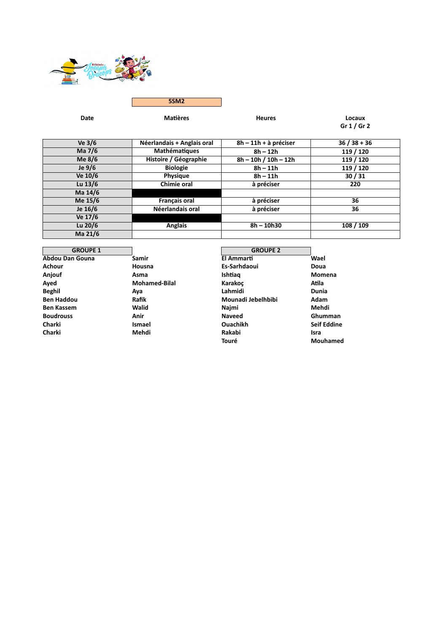

**5SM2**

| Ve 3/6    | Néerlandais + Anglais oral | 8h - 11h + à préciser  | $36 / 38 + 36$ |
|-----------|----------------------------|------------------------|----------------|
| Ma 7/6    | Mathématiques              | $8h - 12h$             | 119 / 120      |
| Me $8/6$  | Histoire / Géographie      | $8h - 10h / 10h - 12h$ | 119 / 120      |
| Je $9/6$  | <b>Biologie</b>            | $8h - 11h$             | 119 / 120      |
| Ve 10/6   | Physique                   | $8h - 11h$             | 30/31          |
| Lu $13/6$ | Chimie oral                | à préciser             | 220            |
| Ma 14/6   |                            |                        |                |
| Me 15/6   | Français oral              | à préciser             | 36             |
| Je 16/6   | Néerlandais oral           | à préciser             | 36             |
| Ve 17/6   |                            |                        |                |
| Lu $20/6$ | <b>Anglais</b>             | $8h - 10h30$           | 108 / 109      |
| Ma 21/6   |                            |                        |                |

| <b>GROUPE 1</b>   |                      | <b>GROUPE 2</b>    |                    |
|-------------------|----------------------|--------------------|--------------------|
| Abdou Dan Gouna   | Samir                | El Ammarti         | Wael               |
| <b>Achour</b>     | Housna               | Es-Sarhdaoui       | Doua               |
| Anjouf            | Asma                 | Ishtiag            | Momena             |
| Ayed              | <b>Mohamed-Bilal</b> | Karakoc            | Atila              |
| <b>Beghil</b>     | Ava                  | Lahmidi            | Dunia              |
| <b>Ben Haddou</b> | Rafik                | Mounadi Jebelhbibi | Adam               |
| <b>Ben Kassem</b> | <b>Walid</b>         | Najmi              | Mehdi              |
| <b>Boudrouss</b>  | Anir                 | <b>Naveed</b>      | Ghumman            |
| Charki            | <b>Ismael</b>        | <b>Ouachikh</b>    | <b>Seif Eddine</b> |
| Charki            | Mehdi                | Rakabi             | Isra               |
|                   |                      | Touré              | Mouhamed           |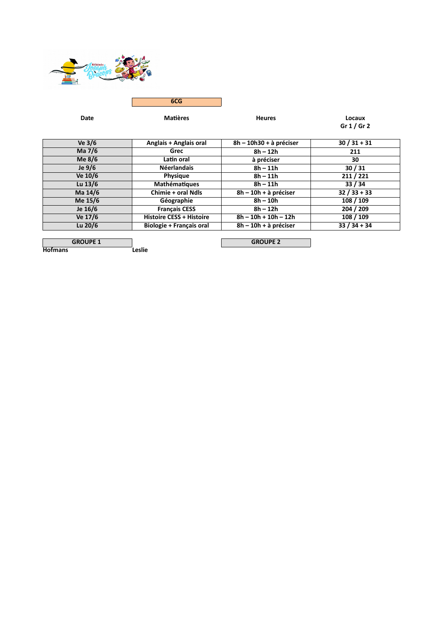

| 6CG |  |
|-----|--|
|     |  |

**Date Matières Heures Locaux Gr 1 / Gr 2**

| Ve $3/6$  | Anglais + Anglais oral          | $8h - 10h30 + a$ préciser     | $30/31 + 31$   |
|-----------|---------------------------------|-------------------------------|----------------|
| Ma 7/6    | Grec                            | $8h - 12h$                    | 211            |
| Me $8/6$  | Latin oral                      | à préciser                    | 30             |
| Je $9/6$  | <b>Néerlandais</b>              | $8h - 11h$                    | 30/31          |
| Ve 10/6   | <b>Physique</b>                 | $8h - 11h$                    | 211/221        |
| Lu $13/6$ | Mathématiques                   | $8h - 11h$                    | 33/34          |
| Ma 14/6   | <b>Chimie + oral Ndls</b>       | $8h - 10h + \lambda$ préciser | $32 / 33 + 33$ |
| Me 15/6   | Géographie                      | $8h - 10h$                    | 108 / 109      |
| Je 16/6   | <b>Français CESS</b>            | $8h - 12h$                    | 204 / 209      |
| Ve 17/6   | <b>Histoire CESS + Histoire</b> | $8h - 10h + 10h - 12h$        | 108 / 109      |
| Lu 20/6   | <b>Biologie + Français oral</b> | $8h - 10h + \lambda$ préciser | $33 / 34 + 34$ |

**GROUPE 1** Leslie **CONFILMENT CONFIDENT**<br>Leslie **Hofmans**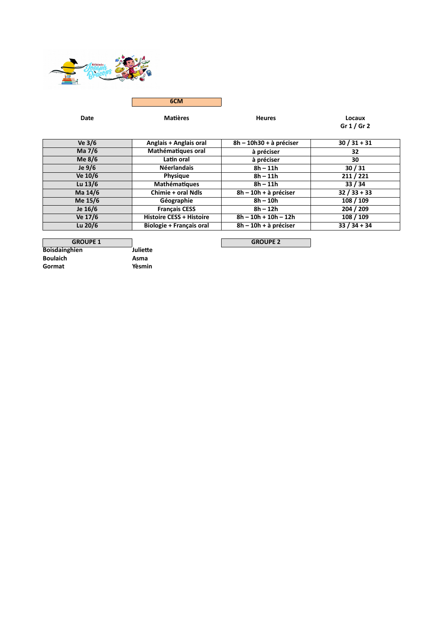

**6CM**

**Date Matières Heures Locaux Gr 1 / Gr 2**

| Ve $3/6$  | Anglais + Anglais oral          | 8h - 10h30 + à préciser         | $30/31 + 31$   |
|-----------|---------------------------------|---------------------------------|----------------|
| Ma 7/6    | Mathématiques oral              | à préciser                      | 32             |
| Me $8/6$  | Latin oral                      | à préciser                      | 30             |
| Je $9/6$  | <b>Néerlandais</b>              | $8h - 11h$                      | 30/31          |
| Ve 10/6   | <b>Physique</b>                 | $8h - 11h$                      | 211/221        |
| Lu $13/6$ | Mathématiques                   | $8h - 11h$                      | 33/34          |
| Ma 14/6   | <b>Chimie + oral Ndls</b>       | 8h - 10h + à préciser           | $32 / 33 + 33$ |
| Me 15/6   | Géographie                      | $8h - 10h$                      | 108 / 109      |
| Je 16/6   | <b>Français CESS</b>            | $8h - 12h$                      | 204 / 209      |
| Ve 17/6   | <b>Histoire CESS + Histoire</b> | $8h - 10h + 10h - 12h$          | 108 / 109      |
| Lu $20/6$ | Biologie + Français oral        | $8h - 10h + \grave{a}$ préciser | $33 / 34 + 34$ |

**GROUPE 1 GROUPE 2** 

| <b>Boisdainghien</b> | Juliette |
|----------------------|----------|
| Boulaich             | Asma     |
| Gormat               | Yèsmin   |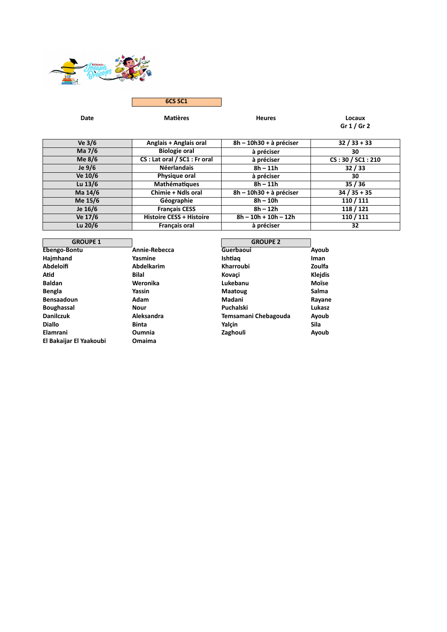

**6CS SC1**

| Ve 3/6    | Anglais + Anglais oral          | 8h - 10h30 + à préciser | $32 / 33 + 33$    |
|-----------|---------------------------------|-------------------------|-------------------|
| Ma 7/6    | <b>Biologie oral</b>            | à préciser              | 30                |
| Me $8/6$  | CS : Lat oral / SC1 : Fr oral   | à préciser              | CS: 30 / SC1: 210 |
| Je $9/6$  | <b>Néerlandais</b>              | $8h - 11h$              | 32/33             |
| Ve 10/6   | Physique oral                   | à préciser              | 30                |
| Lu $13/6$ | Mathématiques                   | $8h - 11h$              | 35/36             |
| Ma 14/6   | Chimie + Ndls oral              | 8h - 10h30 + à préciser | $34 / 35 + 35$    |
| Me 15/6   | Géographie                      | $8h - 10h$              | 110 / 111         |
| Je 16/6   | <b>Français CESS</b>            | $8h - 12h$              | 118 / 121         |
| Ve 17/6   | <b>Histoire CESS + Histoire</b> | $8h - 10h + 10h - 12h$  | 110 / 111         |
| Lu $20/6$ | <b>Français oral</b>            | à préciser              | 32                |

| <b>GROUPE 1</b>         |                   | <b>GROUPE 2</b>      |                |
|-------------------------|-------------------|----------------------|----------------|
| Ebengo-Bontu            | Annie-Rebecca     | Guerbaoui            | Ayoub          |
| Hajmhand                | Yasmine           | Ishtiag              | Iman           |
| Abdeloifi               | <b>Abdelkarim</b> | Kharroubi            | Zoulfa         |
| Atid                    | <b>Bilal</b>      | Kovaci               | <b>Kleidis</b> |
| <b>Baldan</b>           | Weronika          | Lukebanu             | Moïse          |
| Bengla                  | Yassin            | <b>Maatoug</b>       | Salma          |
| <b>Bensaadoun</b>       | Adam              | Madani               | Rayane         |
| <b>Boughassal</b>       | Nour              | Puchalski            | Lukasz         |
| <b>Danilczuk</b>        | Aleksandra        | Temsamani Chebagouda | Ayoub          |
| <b>Diallo</b>           | <b>Binta</b>      | Yalcin               | Sila           |
| Elamrani                | <b>Oumnia</b>     | Zaghouli             | Ayoub          |
| El Bakaijar El Yaakoubi | Omaima            |                      |                |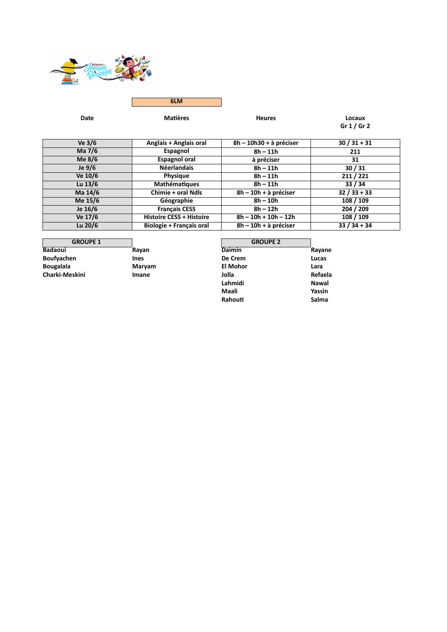

**6LM**

# **Date Matières Heures Locaux Gr 1 / Gr 2**

| Ve $3/6$  | Anglais + Anglais oral          | 8h - 10h30 + à préciser | $30/31 + 31$   |
|-----------|---------------------------------|-------------------------|----------------|
| Ma 7/6    | Espagnol                        | $8h - 11h$              | 211            |
| Me $8/6$  | <b>Espagnol oral</b>            | à préciser              | 31             |
| Je $9/6$  | <b>Néerlandais</b>              | $8h - 11h$              | 30/31          |
| Ve 10/6   | Physique                        | $8h - 11h$              | 211/221        |
| Lu $13/6$ | Mathématiques                   | $8h - 11h$              | 33/34          |
| Ma 14/6   | <b>Chimie + oral Ndls</b>       | 8h - 10h + à préciser   | $32 / 33 + 33$ |
| Me 15/6   | Géographie                      | $8h - 10h$              | 108 / 109      |
| Je 16/6   | <b>Français CESS</b>            | $8h - 12h$              | 204 / 209      |
| Ve 17/6   | <b>Histoire CESS + Histoire</b> | $8h - 10h + 10h - 12h$  | 108 / 109      |
| Lu $20/6$ | Biologie + Français oral        | $8h - 10h + a$ préciser | $33 / 34 + 34$ |

| <b>Badaoui</b>    |  |
|-------------------|--|
| <b>Boufyachen</b> |  |
| Bougalala         |  |
| Charki-Meskini    |  |

| <b>GROUPE 1</b>   |             | <b>GROUPE 2</b> |         |
|-------------------|-------------|-----------------|---------|
| <b>Badaoui</b>    | Rayan       | <b>Daimin</b>   | Rayane  |
| <b>Boufvachen</b> | <b>Ines</b> | De Crem         | Lucas   |
| <b>Bougalala</b>  | Maryam      | <b>El Mohor</b> | Lara    |
| Charki-Meskini    | Imane       | Jolla           | Refaela |
|                   |             | Lahmidi         | Nawal   |
|                   |             | Maali           | Yassin  |
|                   |             | Rahouti         | Salma   |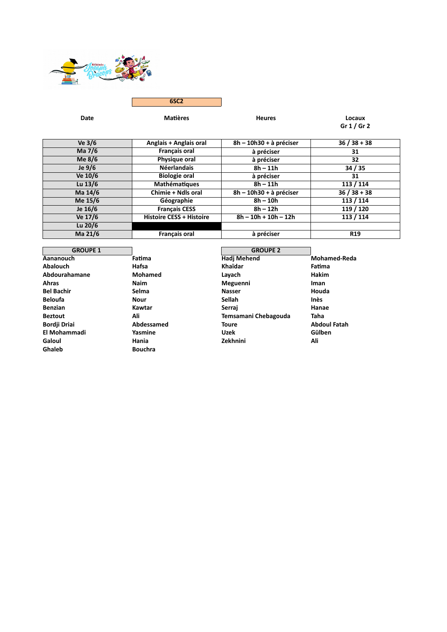

| Ve $3/6$  | Anglais + Anglais oral          | $8h - 10h30 + a$ préciser | $36 / 38 + 38$ |
|-----------|---------------------------------|---------------------------|----------------|
| Ma 7/6    | Français oral                   | à préciser                | 31             |
| Me $8/6$  | Physique oral                   | à préciser                | 32             |
| Je $9/6$  | <b>Néerlandais</b>              | $8h - 11h$                | 34/35          |
| Ve 10/6   | <b>Biologie oral</b>            | à préciser                | 31             |
| Lu $13/6$ | Mathématiques                   | $8h - 11h$                | 113 / 114      |
| Ma 14/6   | Chimie + Ndls oral              | $8h - 10h30 + a$ préciser | $36 / 38 + 38$ |
| Me 15/6   | Géographie                      | $8h - 10h$                | 113 / 114      |
| Je 16/6   | <b>Français CESS</b>            | $8h - 12h$                | 119 / 120      |
| Ve 17/6   | <b>Histoire CESS + Histoire</b> | $8h - 10h + 10h - 12h$    | 113 / 114      |
| Lu 20/6   |                                 |                           |                |
| Ma 21/6   | <b>Francais oral</b>            | à préciser                | <b>R19</b>     |

| <b>GROUPE 1</b>   |                | <b>GROUPE 2</b>      |                     |
|-------------------|----------------|----------------------|---------------------|
| Aananouch         | Fatima         | Hadj Mehend          | <b>Mohamed-Reda</b> |
| Abalouch          | Hafsa          | Khaïdar              | Fatima              |
| Abdourahamane     | Mohamed        | Layach               | <b>Hakim</b>        |
| Ahras             | <b>Naim</b>    | Meguenni             | <b>Iman</b>         |
| <b>Bel Bachir</b> | Selma          | <b>Nasser</b>        | Houda               |
| <b>Beloufa</b>    | Nour           | Sellah               | Inès                |
| <b>Benzian</b>    | Kawtar         | Serraj               | Hanae               |
| <b>Beztout</b>    | Ali            | Temsamani Chebagouda | Taha                |
| Bordji Driai      | Abdessamed     | <b>Toure</b>         | <b>Abdoul Fatah</b> |
| El Mohammadi      | Yasmine        | <b>Uzek</b>          | Gülben              |
| Galoul            | Hania          | Zekhnini             | Ali                 |
| Ghaleb            | <b>Bouchra</b> |                      |                     |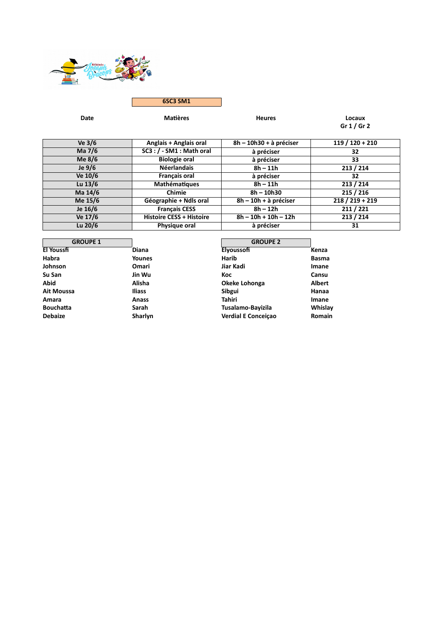

**6SC3 SM1**

**Date Matières Heures Locaux Gr 1 / Gr 2**

| Ve $3/6$  | Anglais + Anglais oral          | 8h - 10h30 + à préciser | $119/120 + 210$   |
|-----------|---------------------------------|-------------------------|-------------------|
| Ma 7/6    | SC3: / - SM1: Math oral         | à préciser              | 32                |
| Me $8/6$  | <b>Biologie oral</b>            | à préciser              | 33                |
| Je $9/6$  | <b>Néerlandais</b>              | $8h - 11h$              | 213 / 214         |
| Ve 10/6   | <b>Français oral</b>            | à préciser              | 32                |
| Lu $13/6$ | <b>Mathématiques</b>            | $8h - 11h$              | 213 / 214         |
| Ma 14/6   | Chimie                          | $8h - 10h30$            | 215/216           |
| Me 15/6   | Géographie + Ndls oral          | 8h - 10h + à préciser   | $218 / 219 + 219$ |
| Je 16/6   | <b>Français CESS</b>            | $8h - 12h$              | 211/221           |
| Ve 17/6   | <b>Histoire CESS + Histoire</b> | $8h - 10h + 10h - 12h$  | 213 / 214         |
| Lu $20/6$ | Physique oral                   | à préciser              | 31                |

**GROUPE 1** Diana Diana **E El Youssfi Diana Elyoussofi Kenza Habra Younes Harib Basma Johnson Omari Jiar Kadi Imane Su San Jin Wu Koc Cansu Abid Alisha Okeke Lohonga Albert Ait Moussa Iliass S**<br> **Amara Hanaa Hanaa Hanaa Hanaa Hanaa H**anaa **Amara Anass Tahiri Imane Bouchatta Sarah Tusalamo-Bayizila Whislay Debaize Sharlyn Verdial E Conceiçao Romain**

| <b>GROUPE 2</b>            |        |
|----------------------------|--------|
| Elyoussofi                 | Kenza  |
| larib                      | Basma  |
| iar Kadi                   | Imane  |
| (oc                        | Cansu  |
| <b>Okeke Lohonga</b>       | Albert |
| Sibgui                     | Hanaa  |
| Tahiri                     | Imane  |
| <b>Fusalamo-Bayizila</b>   | Whisla |
| <b>/erdial E Conceiçao</b> | Romai  |
|                            |        |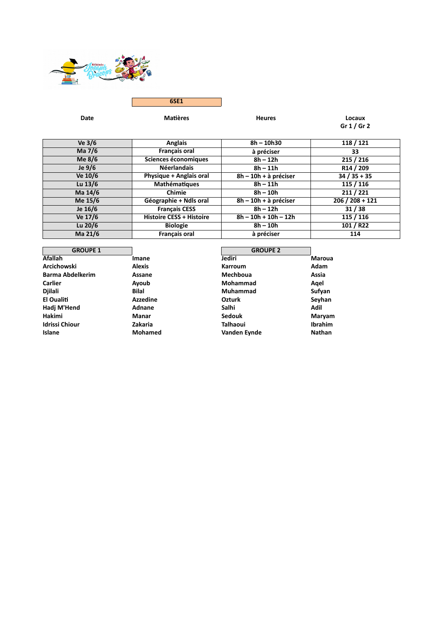

**6SE1**

| Ve 3/6    | Anglais                         | $8h - 10h30$           | 118 / 121             |
|-----------|---------------------------------|------------------------|-----------------------|
| Ma 7/6    | Français oral                   | à préciser             | 33                    |
| Me $8/6$  | Sciences économiques            | $8h - 12h$             | 215/216               |
| Je $9/6$  | <b>Néerlandais</b>              | $8h - 11h$             | R <sub>14</sub> / 209 |
| Ve 10/6   | Physique + Anglais oral         | 8h - 10h + à préciser  | $34 / 35 + 35$        |
| Lu $13/6$ | Mathématiques                   | $8h - 11h$             | 115 / 116             |
| Ma 14/6   | Chimie                          | $8h - 10h$             | 211/221               |
| Me 15/6   | Géographie + Ndls oral          | 8h - 10h + à préciser  | $206 / 208 + 121$     |
| Je 16/6   | <b>Français CESS</b>            | $8h - 12h$             | 31/38                 |
| Ve 17/6   | <b>Histoire CESS + Histoire</b> | $8h - 10h + 10h - 12h$ | 115 / 116             |
| Lu 20/6   | <b>Biologie</b>                 | $8h - 10h$             | 101 / R22             |
| Ma 21/6   | Français oral                   | à préciser             | 114                   |

| <b>GROUPE 1</b>         |                 | <b>GROUPE 2</b> |                |
|-------------------------|-----------------|-----------------|----------------|
| Afallah                 | Imane           | Jediri          | <b>Maroua</b>  |
| Arcichowski             | <b>Alexis</b>   | <b>Karroum</b>  | Adam           |
| <b>Barma Abdelkerim</b> | Assane          | Mechboua        | Assia          |
| <b>Carlier</b>          | Ayoub           | Mohammad        | Agel           |
| <b>Djilali</b>          | <b>Bilal</b>    | Muhammad        | Sufyan         |
| El Oualiti              | <b>Azzedine</b> | <b>Ozturk</b>   | Seyhan         |
| Hadi M'Hend             | Adnane          | <b>Salhi</b>    | Adil           |
| Hakimi                  | Manar           | <b>Sedouk</b>   | Maryam         |
| <b>Idrissi Chiour</b>   | Zakaria         | <b>Talhaoui</b> | <b>Ibrahim</b> |
| Islane                  | Mohamed         | Vanden Eynde    | <b>Nathan</b>  |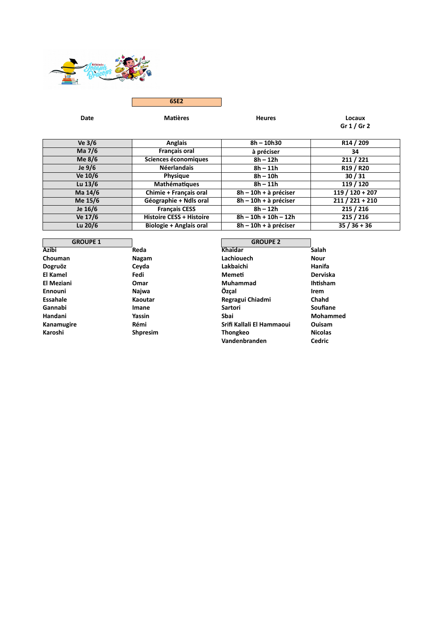

**6SE2**

### **Date Matières Heures Locaux Gr 1 / Gr 2**

| Ve $3/6$  | <b>Anglais</b>                  | 8h - 10h30              | R <sub>14</sub> / 209             |
|-----------|---------------------------------|-------------------------|-----------------------------------|
| Ma 7/6    | <b>Français oral</b>            | à préciser              | 34                                |
| Me $8/6$  | Sciences économiques            | $8h - 12h$              | 211/221                           |
| Je $9/6$  | <b>Néerlandais</b>              | $8h - 11h$              | R <sub>19</sub> / R <sub>20</sub> |
| Ve 10/6   | <b>Physique</b>                 | $8h - 10h$              | 30/31                             |
| Lu $13/6$ | Mathématiques                   | $8h - 11h$              | 119 / 120                         |
| Ma 14/6   | Chimie + Français oral          | 8h - 10h + à préciser   | $119/120+207$                     |
| Me 15/6   | Géographie + Ndls oral          | $8h - 10h + a$ préciser | $211 / 221 + 210$                 |
| Je 16/6   | <b>Français CESS</b>            | $8h - 12h$              | 215 / 216                         |
| Ve 17/6   | <b>Histoire CESS + Histoire</b> | $8h - 10h + 10h - 12h$  | 215/216                           |
| Lu $20/6$ | Biologie + Anglais oral         | $8h - 10h + a$ préciser | $35/36+36$                        |

| <b>GROUPE 1</b> |                 | <b>GROUPE 2</b>           |                 |
|-----------------|-----------------|---------------------------|-----------------|
| <b>Azibi</b>    | Reda            | Khaïdar                   | Salah           |
| Chouman         | Nagam           | Lachiouech                | <b>Nour</b>     |
| Dogruöz         | Ceyda           | Lakbaichi                 | Hanifa          |
| El Kamel        | Fedi            | Memeti                    | Derviska        |
| El Meziani      | Omar            | Muhammad                  | <b>Ihtisham</b> |
| Ennouni         | Najwa           | Özcal                     | Irem            |
| Essahale        | Kaoutar         | Regragui Chiadmi          | Chahd           |
| Gannabi         | Imane           | <b>Sartori</b>            | Soufiane        |
| Handani         | Yassin          | Sbai                      | Mohammed        |
| Kanamugire      | Rémi            | Srifi Kallali El Hammaoui | Ouisam          |
| Karoshi         | <b>Shpresim</b> | <b>Thongkeo</b>           | <b>Nicolas</b>  |
|                 |                 | Vandenbranden             | <b>Cedric</b>   |
|                 |                 |                           |                 |